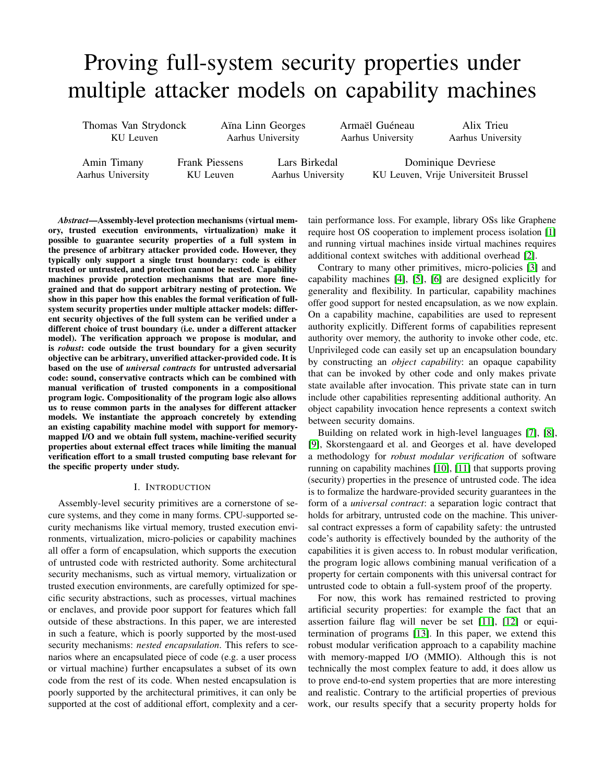# Proving full-system security properties under multiple attacker models on capability machines

Thomas Van Strydonck KU Leuven

Aïna Linn Georges Aarhus University

Armaël Guéneau Aarhus University

Alix Trieu Aarhus University

Amin Timany Aarhus University Frank Piessens KU Leuven

Lars Birkedal Aarhus University

Dominique Devriese KU Leuven, Vrije Universiteit Brussel

*Abstract*—Assembly-level protection mechanisms (virtual memory, trusted execution environments, virtualization) make it possible to guarantee security properties of a full system in the presence of arbitrary attacker provided code. However, they typically only support a single trust boundary: code is either trusted or untrusted, and protection cannot be nested. Capability machines provide protection mechanisms that are more finegrained and that do support arbitrary nesting of protection. We show in this paper how this enables the formal verification of fullsystem security properties under multiple attacker models: different security objectives of the full system can be verified under a different choice of trust boundary (i.e. under a different attacker model). The verification approach we propose is modular, and is *robust*: code outside the trust boundary for a given security objective can be arbitrary, unverified attacker-provided code. It is based on the use of *universal contracts* for untrusted adversarial code: sound, conservative contracts which can be combined with manual verification of trusted components in a compositional program logic. Compositionality of the program logic also allows us to reuse common parts in the analyses for different attacker models. We instantiate the approach concretely by extending an existing capability machine model with support for memorymapped I/O and we obtain full system, machine-verified security properties about external effect traces while limiting the manual verification effort to a small trusted computing base relevant for the specific property under study.

## I. INTRODUCTION

Assembly-level security primitives are a cornerstone of secure systems, and they come in many forms. CPU-supported security mechanisms like virtual memory, trusted execution environments, virtualization, micro-policies or capability machines all offer a form of encapsulation, which supports the execution of untrusted code with restricted authority. Some architectural security mechanisms, such as virtual memory, virtualization or trusted execution environments, are carefully optimized for specific security abstractions, such as processes, virtual machines or enclaves, and provide poor support for features which fall outside of these abstractions. In this paper, we are interested in such a feature, which is poorly supported by the most-used security mechanisms: *nested encapsulation*. This refers to scenarios where an encapsulated piece of code (e.g. a user process or virtual machine) further encapsulates a subset of its own code from the rest of its code. When nested encapsulation is poorly supported by the architectural primitives, it can only be supported at the cost of additional effort, complexity and a certain performance loss. For example, library OSs like Graphene require host OS cooperation to implement process isolation [\[1\]](#page-14-0) and running virtual machines inside virtual machines requires additional context switches with additional overhead [\[2\]](#page-14-1).

Contrary to many other primitives, micro-policies [\[3\]](#page-14-2) and capability machines [\[4\]](#page-14-3), [\[5\]](#page-15-0), [\[6\]](#page-15-1) are designed explicitly for generality and flexibility. In particular, capability machines offer good support for nested encapsulation, as we now explain. On a capability machine, capabilities are used to represent authority explicitly. Different forms of capabilities represent authority over memory, the authority to invoke other code, etc. Unprivileged code can easily set up an encapsulation boundary by constructing an *object capability*: an opaque capability that can be invoked by other code and only makes private state available after invocation. This private state can in turn include other capabilities representing additional authority. An object capability invocation hence represents a context switch between security domains.

Building on related work in high-level languages [\[7\]](#page-15-2), [\[8\]](#page-15-3), [\[9\]](#page-15-4), Skorstengaard et al. and Georges et al. have developed a methodology for *robust modular verification* of software running on capability machines [\[10\]](#page-15-5), [\[11\]](#page-15-6) that supports proving (security) properties in the presence of untrusted code. The idea is to formalize the hardware-provided security guarantees in the form of a *universal contract*: a separation logic contract that holds for arbitrary, untrusted code on the machine. This universal contract expresses a form of capability safety: the untrusted code's authority is effectively bounded by the authority of the capabilities it is given access to. In robust modular verification, the program logic allows combining manual verification of a property for certain components with this universal contract for untrusted code to obtain a full-system proof of the property.

For now, this work has remained restricted to proving artificial security properties: for example the fact that an assertion failure flag will never be set [\[11\]](#page-15-6), [\[12\]](#page-15-7) or equitermination of programs [\[13\]](#page-15-8). In this paper, we extend this robust modular verification approach to a capability machine with memory-mapped I/O (MMIO). Although this is not technically the most complex feature to add, it does allow us to prove end-to-end system properties that are more interesting and realistic. Contrary to the artificial properties of previous work, our results specify that a security property holds for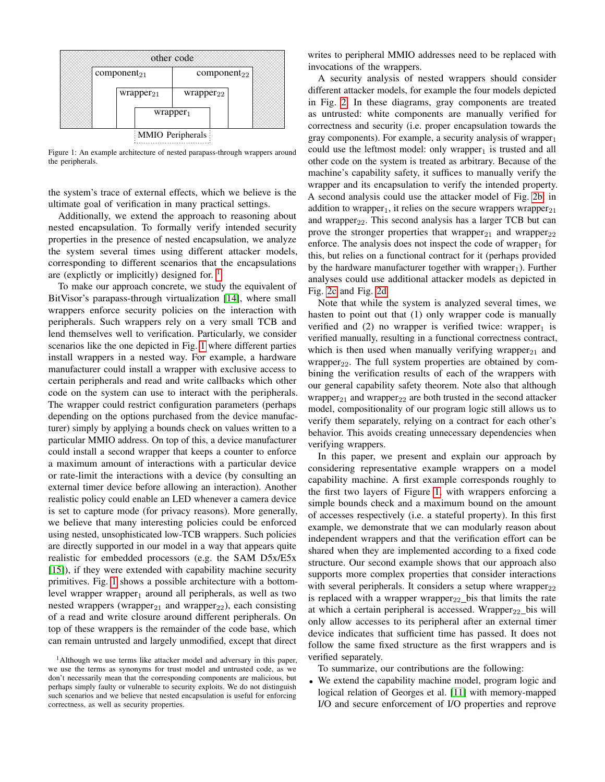<span id="page-1-1"></span>

Figure 1: An example architecture of nested parapass-through wrappers around the peripherals.

the system's trace of external effects, which we believe is the ultimate goal of verification in many practical settings.

Additionally, we extend the approach to reasoning about nested encapsulation. To formally verify intended security properties in the presence of nested encapsulation, we analyze the system several times using different attacker models, corresponding to different scenarios that the encapsulations are (explictly or implicitly) designed for.  $\frac{1}{1}$  $\frac{1}{1}$  $\frac{1}{1}$ 

To make our approach concrete, we study the equivalent of BitVisor's parapass-through virtualization [\[14\]](#page-15-9), where small wrappers enforce security policies on the interaction with peripherals. Such wrappers rely on a very small TCB and lend themselves well to verification. Particularly, we consider scenarios like the one depicted in Fig. [1](#page-1-1) where different parties install wrappers in a nested way. For example, a hardware manufacturer could install a wrapper with exclusive access to certain peripherals and read and write callbacks which other code on the system can use to interact with the peripherals. The wrapper could restrict configuration parameters (perhaps depending on the options purchased from the device manufacturer) simply by applying a bounds check on values written to a particular MMIO address. On top of this, a device manufacturer could install a second wrapper that keeps a counter to enforce a maximum amount of interactions with a particular device or rate-limit the interactions with a device (by consulting an external timer device before allowing an interaction). Another realistic policy could enable an LED whenever a camera device is set to capture mode (for privacy reasons). More generally, we believe that many interesting policies could be enforced using nested, unsophisticated low-TCB wrappers. Such policies are directly supported in our model in a way that appears quite realistic for embedded processors (e.g. the SAM D5x/E5x [\[15\]](#page-15-10)), if they were extended with capability machine security primitives. Fig. [1](#page-1-1) shows a possible architecture with a bottomlevel wrapper wrapper<sub>1</sub> around all peripherals, as well as two nested wrappers (wrapper<sub>21</sub> and wrapper<sub>22</sub>), each consisting of a read and write closure around different peripherals. On top of these wrappers is the remainder of the code base, which can remain untrusted and largely unmodified, except that direct

writes to peripheral MMIO addresses need to be replaced with invocations of the wrappers.

A security analysis of nested wrappers should consider different attacker models, for example the four models depicted in Fig. [2.](#page-2-0) In these diagrams, gray components are treated as untrusted: white components are manually verified for correctness and security (i.e. proper encapsulation towards the gray components). For example, a security analysis of wrapper $_1$ could use the leftmost model: only wrapper<sub>1</sub> is trusted and all other code on the system is treated as arbitrary. Because of the machine's capability safety, it suffices to manually verify the wrapper and its encapsulation to verify the intended property. A second analysis could use the attacker model of Fig. [2b:](#page-2-1) in addition to wrapper<sub>1</sub>, it relies on the secure wrappers wrapper<sub>21</sub> and wrapper<sub>22</sub>. This second analysis has a larger TCB but can prove the stronger properties that wrapper $_{21}$  and wrapper $_{22}$ enforce. The analysis does not inspect the code of wrapper $<sub>1</sub>$  for</sub> this, but relies on a functional contract for it (perhaps provided by the hardware manufacturer together with wrapper<sub>1</sub>). Further analyses could use additional attacker models as depicted in Fig. [2c](#page-2-2) and Fig. [2d.](#page-2-3)

Note that while the system is analyzed several times, we hasten to point out that (1) only wrapper code is manually verified and  $(2)$  no wrapper is verified twice: wrapper<sub>1</sub> is verified manually, resulting in a functional correctness contract, which is then used when manually verifying wrapper<sub>21</sub> and wrapper<sub>22</sub>. The full system properties are obtained by combining the verification results of each of the wrappers with our general capability safety theorem. Note also that although wrapper<sub>21</sub> and wrapper<sub>22</sub> are both trusted in the second attacker model, compositionality of our program logic still allows us to verify them separately, relying on a contract for each other's behavior. This avoids creating unnecessary dependencies when verifying wrappers.

In this paper, we present and explain our approach by considering representative example wrappers on a model capability machine. A first example corresponds roughly to the first two layers of Figure [1,](#page-1-1) with wrappers enforcing a simple bounds check and a maximum bound on the amount of accesses respectively (i.e. a stateful property). In this first example, we demonstrate that we can modularly reason about independent wrappers and that the verification effort can be shared when they are implemented according to a fixed code structure. Our second example shows that our approach also supports more complex properties that consider interactions with several peripherals. It considers a setup where wrapper $_{22}$ is replaced with a wrapper wrapper<sub>22</sub> bis that limits the rate at which a certain peripheral is accessed. Wrapper<sub>22</sub> bis will only allow accesses to its peripheral after an external timer device indicates that sufficient time has passed. It does not follow the same fixed structure as the first wrappers and is verified separately.

To summarize, our contributions are the following:

• We extend the capability machine model, program logic and logical relation of Georges et al. [\[11\]](#page-15-6) with memory-mapped I/O and secure enforcement of I/O properties and reprove

<span id="page-1-0"></span><sup>&</sup>lt;sup>1</sup>Although we use terms like attacker model and adversary in this paper, we use the terms as synonyms for trust model and untrusted code, as we don't necessarily mean that the corresponding components are malicious, but perhaps simply faulty or vulnerable to security exploits. We do not distinguish such scenarios and we believe that nested encapsulation is useful for enforcing correctness, as well as security properties.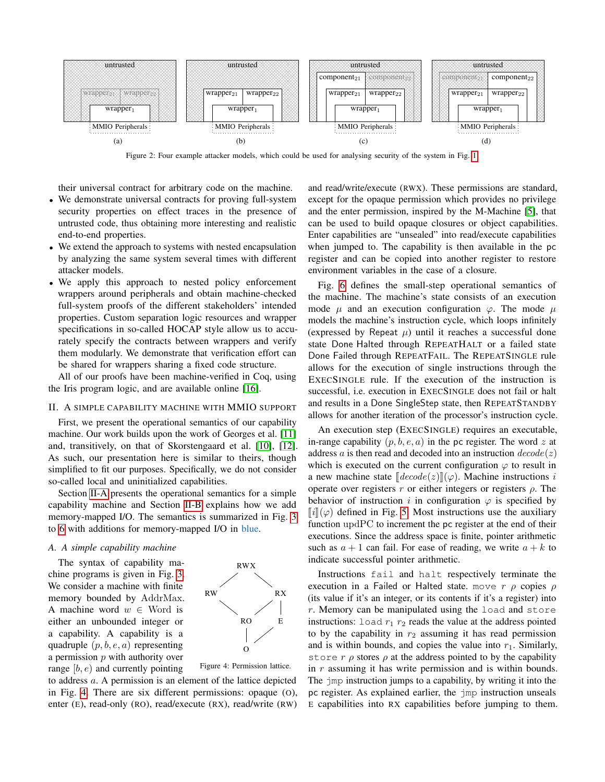<span id="page-2-0"></span>

<span id="page-2-1"></span>Figure 2: Four example attacker models, which could be used for analysing security of the system in Fig. [1.](#page-1-1)

their universal contract for arbitrary code on the machine.

- We demonstrate universal contracts for proving full-system security properties on effect traces in the presence of untrusted code, thus obtaining more interesting and realistic end-to-end properties.
- We extend the approach to systems with nested encapsulation by analyzing the same system several times with different attacker models.
- We apply this approach to nested policy enforcement wrappers around peripherals and obtain machine-checked full-system proofs of the different stakeholders' intended properties. Custom separation logic resources and wrapper specifications in so-called HOCAP style allow us to accurately specify the contracts between wrappers and verify them modularly. We demonstrate that verification effort can be shared for wrappers sharing a fixed code structure.

All of our proofs have been machine-verified in Coq, using the Iris program logic, and are available online [\[16\]](#page-15-11).

## II. A SIMPLE CAPABILITY MACHINE WITH MMIO SUPPORT

First, we present the operational semantics of our capability machine. Our work builds upon the work of Georges et al. [\[11\]](#page-15-6) and, transitively, on that of Skorstengaard et al. [\[10\]](#page-15-5), [\[12\]](#page-15-7). As such, our presentation here is similar to theirs, though simplified to fit our purposes. Specifically, we do not consider so-called local and uninitialized capabilities.

Section [II-A](#page-2-4) presents the operational semantics for a simple capability machine and Section [II-B](#page-4-0) explains how we add memory-mapped I/O. The semantics is summarized in Fig. [3](#page-3-0) to [6](#page-3-1) with additions for memory-mapped I/O in blue.

## <span id="page-2-4"></span>*A. A simple capability machine*

The syntax of capability machine programs is given in Fig. [3.](#page-3-0) We consider a machine with finite memory bounded by AddrMax. A machine word  $w \in$  Word is either an unbounded integer or a capability. A capability is a quadruple  $(p, b, e, a)$  representing a permission  $p$  with authority over range  $[b, e]$  and currently pointing

<span id="page-2-5"></span>

Figure 4: Permission lattice.

to address a. A permission is an element of the lattice depicted in Fig. [4.](#page-2-5) There are six different permissions: opaque (O), enter (E), read-only (RO), read/execute (RX), read/write (RW)

<span id="page-2-3"></span><span id="page-2-2"></span>and read/write/execute (RWX). These permissions are standard, except for the opaque permission which provides no privilege and the enter permission, inspired by the M-Machine [\[5\]](#page-15-0), that can be used to build opaque closures or object capabilities. Enter capabilities are "unsealed" into read/execute capabilities when jumped to. The capability is then available in the pc register and can be copied into another register to restore environment variables in the case of a closure.

Fig. [6](#page-3-1) defines the small-step operational semantics of the machine. The machine's state consists of an execution mode  $\mu$  and an execution configuration  $\varphi$ . The mode  $\mu$ models the machine's instruction cycle, which loops infinitely (expressed by Repeat  $\mu$ ) until it reaches a successful done state Done Halted through REPEATHALT or a failed state Done Failed through REPEATFAIL. The REPEATSINGLE rule allows for the execution of single instructions through the EXECSINGLE rule. If the execution of the instruction is successful, i.e. execution in EXECSINGLE does not fail or halt and results in a Done SingleStep state, then REPEATSTANDBY allows for another iteration of the processor's instruction cycle.

An execution step (EXECSINGLE) requires an executable, in-range capability  $(p, b, e, a)$  in the pc register. The word z at address a is then read and decoded into an instruction  $decode(z)$ which is executed on the current configuration  $\varphi$  to result in a new machine state  $\llbracket decode(z) \rrbracket(\varphi)$ . Machine instructions i operate over registers r or either integers or registers  $\rho$ . The behavior of instruction i in configuration  $\varphi$  is specified by  $\llbracket i \rrbracket(\varphi)$  defined in Fig. [5.](#page-3-2) Most instructions use the auxiliary function updPC to increment the pc register at the end of their executions. Since the address space is finite, pointer arithmetic such as  $a + 1$  can fail. For ease of reading, we write  $a + k$  to indicate successful pointer arithmetic.

Instructions fail and halt respectively terminate the execution in a Failed or Halted state. move  $r \rho$  copies  $\rho$ (its value if it's an integer, or its contents if it's a register) into  $r$ . Memory can be manipulated using the load and store instructions: load  $r_1$   $r_2$  reads the value at the address pointed to by the capability in  $r_2$  assuming it has read permission and is within bounds, and copies the value into  $r_1$ . Similarly, store r  $\rho$  stores  $\rho$  at the address pointed to by the capability in  $r$  assuming it has write permission and is within bounds. The jmp instruction jumps to a capability, by writing it into the pc register. As explained earlier, the jmp instruction unseals E capabilities into RX capabilities before jumping to them.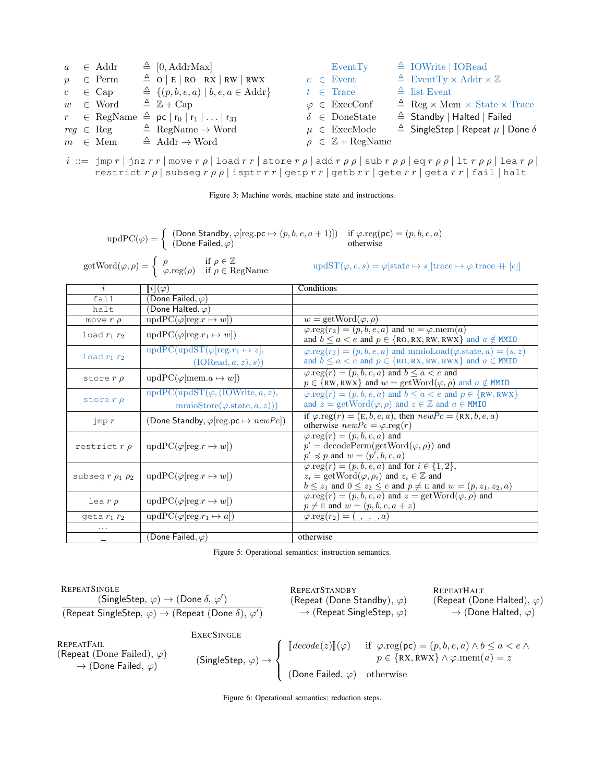<span id="page-3-0"></span>

|  | $a \in \text{Addr}$                               | $\triangleq$ [0, AddrMax]                                           |  | EventTy                                | $\triangleq$ IOWrite   IORead                               |
|--|---------------------------------------------------|---------------------------------------------------------------------|--|----------------------------------------|-------------------------------------------------------------|
|  | $p \in \text{Perm}$                               | $\triangleq$ O   E   RO   RX   RW   RWX                             |  | $e \in$ Event                          | $\triangleq$ EventTy $\times$ Addr $\times \mathbb{Z}$      |
|  | $c \in \text{Cap}$                                | $\triangleq \{(p, b, e, a)   b, e, a \in \text{Addr}\}\$            |  | $t \in \text{Trace}$                   | $\triangleq$ list Event                                     |
|  | $w \in$ Word $\triangleq \mathbb{Z} + \text{Cap}$ |                                                                     |  | $\varphi \in \text{ExecConf}$          | $\triangleq$ Reg $\times$ Mem $\times$ State $\times$ Trace |
|  |                                                   | $r \in \text{RegName} \triangleq \text{pc}  r_0 r_1  \dots  r_{31}$ |  | $\delta \in \text{DoneState}$          | $\triangleq$ Standby   Halted   Failed                      |
|  | $reg \in \text{Reg}$                              | $\triangleq$ RegName $\rightarrow$ Word                             |  | $\mu \in \text{ExecMode}$              | $\triangleq$ SingleStep   Repeat $\mu$   Done $\delta$      |
|  | $m \in \text{Mem}$                                | $\triangleq$ Addr $\rightarrow$ Word                                |  | $\rho \in \mathbb{Z} + \text{RegName}$ |                                                             |

 $i ::= \text{imp } r \mid \text{jnz } rr \mid \text{move } r \rho \mid \text{load } rr \mid \text{store } r \rho \mid \text{add } r \rho \rho \mid \text{sub } r \rho \rho \mid \text{eq } r \rho \rho \mid \text{lea } r \rho \mid$ restrict  $r \rho$  | subseg  $r \rho \rho$  | isptr  $r r$  | getp  $r r$  | getb  $r r$  | gete  $r r$  | geta  $r r$  | fail | halt

Figure 3: Machine words, machine state and instructions.

 $\text{updPC}(\varphi) = \begin{cases} (\text{Done Standby}, \varphi[\text{reg.pc} \mapsto (p, b, e, a + 1)]) & \text{if } \varphi.\text{reg(pc)} = (p, b, e, a) \\ (\text{Dose Field } \varphi) & \text{otherwise.} \end{cases}$ (Done Failed,  $\varphi$ ) otherwise

<span id="page-3-2"></span> $\text{getWord}(\varphi, \rho) = \begin{cases} \rho & \text{if } \rho \in \mathbb{Z} \\ \rho & \text{if } \rho \in \mathbb{R} \end{cases}$ 

 $\text{updST}(\varphi, e, s) = \varphi[\text{state} \mapsto s][\text{trace} \mapsto \varphi.\text{trace} + [e]]$ 

| $\dot{i}$                | $\ i\ (\varphi)$                                                                                  | Conditions                                                                                                                                                                                                                  |  |  |  |
|--------------------------|---------------------------------------------------------------------------------------------------|-----------------------------------------------------------------------------------------------------------------------------------------------------------------------------------------------------------------------------|--|--|--|
| fail                     | (Done Failed, $\varphi$ )                                                                         |                                                                                                                                                                                                                             |  |  |  |
| halt                     | (Done Halted, $\varphi$ )                                                                         |                                                                                                                                                                                                                             |  |  |  |
| move $r \rho$            | $\text{updPC}(\varphi[\text{reg}.r \mapsto w])$                                                   | $w = getWord(\varphi, \rho)$                                                                                                                                                                                                |  |  |  |
| load $r_1$ $r_2$         | $\text{updPC}(\varphi[\text{reg}.r_1 \mapsto w])$                                                 | $\varphi.\text{reg}(r_2) = (p, b, e, a)$ and $w = \varphi.\text{mem}(a)$<br>and $b \le a < e$ and $p \in \{RO, RX, RW, RWX\}$ and $a \notin MMIO$                                                                           |  |  |  |
| load $r_1$ $r_2$         | $\overline{\text{updPC}(\text{updST}(\varphi[\text{reg}.r_1 \mapsto z]),}$<br>(IORead, a, z), s)) | $\varphi.\text{reg}(r_2) = (p, b, e, a)$ and mmioLoad( $\varphi.\text{state}, a$ ) = (s, z)<br>and $b \le a < e$ and $p \in \{RO, RX, RW, RWX\}$ and $a \in MMIO$                                                           |  |  |  |
| store $r \rho$           | $updPC(\varphi[\text{mem}.a \mapsto w])$                                                          | $\varphi.\text{reg}(r) = (p, b, e, a)$ and $b \le a < e$ and<br>$p \in \{RW, RWX\}$ and $w = getWord(\varphi, \rho)$ and $a \notin MMIO$                                                                                    |  |  |  |
| store $r \rho$           | $updPC(updST(\varphi, (IOWrite, a, z)),$<br>$\text{mmoStore}(\varphi.\text{state},a,z))$          | $\varphi.\text{reg}(r) = (p, b, e, a)$ and $b \le a < e$ and $p \in \{RW, RWX\}$<br>and $z = getWord(\varphi, \rho)$ and $z \in \mathbb{Z}$ and $a \in MMIO$                                                                |  |  |  |
| $\lim p r$               | (Done Standby, $\varphi$ [reg.pc $\mapsto newPc$ ])                                               | if $\varphi.\text{reg}(r) = (E, b, e, a)$ , then $newPc = (RX, b, e, a)$<br>otherwise $newPc = \varphi \cdot reg(r)$                                                                                                        |  |  |  |
| restrict $r \rho$        | $\text{updPC}(\varphi[\text{reg}.r \mapsto w])$                                                   | $\varphi.\text{reg}(r) = (p, b, e, a)$ and<br>$p' = \text{decodePerm}(\text{getWord}(\varphi, \rho))$ and<br>$p' \preccurlyeq p$ and $w = (p', b, e, a)$                                                                    |  |  |  |
| subseg $r \rho_1 \rho_2$ | $\text{updPC}(\varphi[\text{reg}.r \mapsto w])$                                                   | $\varphi.\text{reg}(r) = (p, b, e, a)$ and for $i \in \{1, 2\},\$<br>$z_i = \text{getWord}(\varphi, \rho_i)$ and $z_i \in \mathbb{Z}$ and<br>$b \leq z_1$ and $0 \leq z_2 \leq e$ and $p \neq E$ and $w = (p, z_1, z_2, a)$ |  |  |  |
| $\text{lea } r \rho$     | $\text{updPC}(\varphi[\text{reg}.r \mapsto w])$                                                   | $\varphi.\text{reg}(r) = (p, b, e, a)$ and $z = \text{getWord}(\varphi, \rho)$ and<br>$p \neq E$ and $w = (p, b, e, a + z)$                                                                                                 |  |  |  |
| geta $r_1$ $r_2$         | $\text{updPC}(\varphi[\text{reg}.r_1 \mapsto a])$                                                 | $\varphi.\text{reg}(r_2) = (\_,\_,\_,a)$                                                                                                                                                                                    |  |  |  |
|                          |                                                                                                   |                                                                                                                                                                                                                             |  |  |  |
|                          | (Done Failed, $\varphi$ )                                                                         | otherwise                                                                                                                                                                                                                   |  |  |  |

Figure 5: Operational semantics: instruction semantics.

<span id="page-3-1"></span>

| REPEATSINGLE (SingleStep, $\varphi$ ) $\rightarrow$ (Done $\delta$ , $\varphi'$ )           | REPEATSTANDBY (Repeat (Done Standardby), $\varphi$ ) | REPEATHAL (Repeat (Done Halted), $\varphi$ ) |
|---------------------------------------------------------------------------------------------|------------------------------------------------------|----------------------------------------------|
| REPEATFAIL (Repeat SingleStep, $\varphi$ ) $\rightarrow$ (Repeat (Done Halted), $\varphi$ ) | EXECSINGLE                                           |                                              |
| REPEATFAIL (Repeat (Done Failed), $\varphi$ )                                               | EXECSINGLE                                           |                                              |
| REPEATFAIL (Repeat (Done Failed), $\varphi$ )                                               | EXECSINGLE                                           |                                              |
| REPEATFAIL (Repeat (Done Failed), $\varphi$ )                                               | EXECSINGLE                                           |                                              |
| REPEATFAIL (Repeat (Done Failed, $\varphi$ )                                                | EXECSINGLE                                           |                                              |
| REPEATFAIL (Bone Failed, $\varphi$ )                                                        | EXECSINGLE                                           |                                              |
| REPEATFAIL (Bone Failed, $\varphi$ )                                                        | EXECSINGLE                                           |                                              |
| REPEATFAIL (Bone Failed, $\varphi$ )                                                        | EXECSINGLE                                           |                                              |
| REPEATFAIL (Bone Failed, $\varphi$ )                                                        | EXECSINGLE                                           |                                              |
| REPEATFAIL (Bone Failed, $\varphi$ )                                                        | EXECSINGLE                                           |                                              |
| REPEATFAIL (Bone Failed, $\varphi$ )                                                        | EXECSINGE                                            |                                              |

Figure 6: Operational semantics: reduction steps.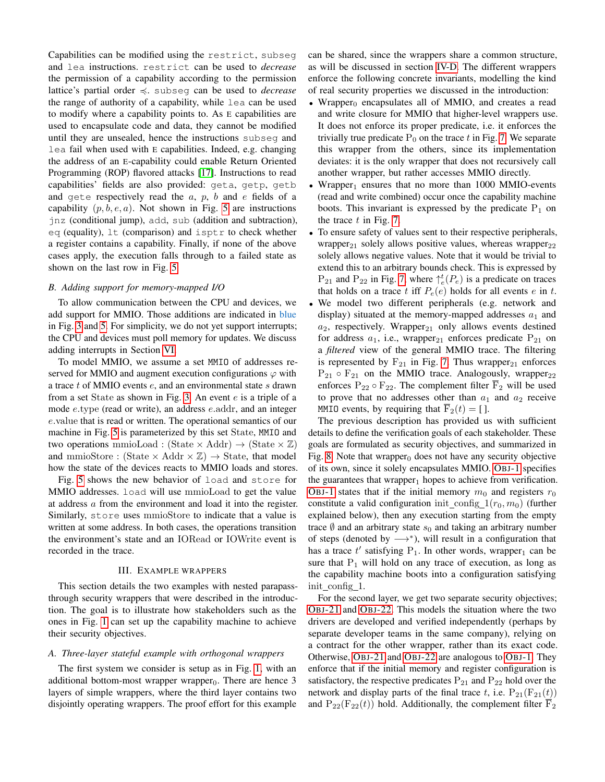Capabilities can be modified using the restrict, subseg and lea instructions. restrict can be used to *decrease* the permission of a capability according to the permission lattice's partial order  $\leq$ . subseq can be used to *decrease* the range of authority of a capability, while lea can be used to modify where a capability points to. As E capabilities are used to encapsulate code and data, they cannot be modified until they are unsealed, hence the instructions subseg and lea fail when used with E capabilities. Indeed, e.g. changing the address of an E-capability could enable Return Oriented Programming (ROP) flavored attacks [\[17\]](#page-15-12). Instructions to read capabilities' fields are also provided: geta, getp, getb and gete respectively read the  $a, p, b$  and  $e$  fields of a capability  $(p, b, e, a)$ . Not shown in Fig. [5](#page-3-2) are instructions jnz (conditional jump), add, sub (addition and subtraction), eq (equality), lt (comparison) and isptr to check whether a register contains a capability. Finally, if none of the above cases apply, the execution falls through to a failed state as shown on the last row in Fig. [5.](#page-3-2)

## <span id="page-4-0"></span>*B. Adding support for memory-mapped I/O*

To allow communication between the CPU and devices, we add support for MMIO. Those additions are indicated in blue in Fig. [3](#page-3-0) and [5.](#page-3-2) For simplicity, we do not yet support interrupts; the CPU and devices must poll memory for updates. We discuss adding interrupts in Section [VI.](#page-14-4)

To model MMIO, we assume a set MMIO of addresses reserved for MMIO and augment execution configurations  $\varphi$  with a trace  $t$  of MMIO events  $e$ , and an environmental state  $s$  drawn from a set State as shown in Fig. [3.](#page-3-0) An event e is a triple of a mode e.type (read or write), an address e.addr, and an integer e.value that is read or written. The operational semantics of our machine in Fig. [5](#page-3-2) is parameterized by this set State, MMIO and two operations mmioLoad : (State  $\times$  Addr)  $\rightarrow$  (State  $\times \mathbb{Z}$ ) and mmioStore : (State  $\times$  Addr  $\times \mathbb{Z}$ )  $\rightarrow$  State, that model how the state of the devices reacts to MMIO loads and stores.

Fig. [5](#page-3-2) shows the new behavior of load and store for MMIO addresses. load will use mmioLoad to get the value at address a from the environment and load it into the register. Similarly, store uses mmioStore to indicate that a value is written at some address. In both cases, the operations transition the environment's state and an IORead or IOWrite event is recorded in the trace.

## III. EXAMPLE WRAPPERS

<span id="page-4-1"></span>This section details the two examples with nested parapassthrough security wrappers that were described in the introduction. The goal is to illustrate how stakeholders such as the ones in Fig. [1](#page-1-1) can set up the capability machine to achieve their security objectives.

#### *A. Three-layer stateful example with orthogonal wrappers*

The first system we consider is setup as in Fig. [1,](#page-1-1) with an additional bottom-most wrapper wrapper<sub>0</sub>. There are hence 3 layers of simple wrappers, where the third layer contains two disjointly operating wrappers. The proof effort for this example can be shared, since the wrappers share a common structure, as will be discussed in section [IV-D.](#page-12-0) The different wrappers enforce the following concrete invariants, modelling the kind of real security properties we discussed in the introduction:

- Wrapper<sub>0</sub> encapsulates all of MMIO, and creates a read and write closure for MMIO that higher-level wrappers use. It does not enforce its proper predicate, i.e. it enforces the trivially true predicate  $P_0$  on the trace t in Fig. [7.](#page-5-0) We separate this wrapper from the others, since its implementation deviates: it is the only wrapper that does not recursively call another wrapper, but rather accesses MMIO directly.
- Wrapper<sub>1</sub> ensures that no more than  $1000$  MMIO-events (read and write combined) occur once the capability machine boots. This invariant is expressed by the predicate  $P_1$  on the trace  $t$  in Fig. [7.](#page-5-0)
- To ensure safety of values sent to their respective peripherals, wrapper<sub>21</sub> solely allows positive values, whereas wrapper<sub>22</sub> solely allows negative values. Note that it would be trivial to extend this to an arbitrary bounds check. This is expressed by  $P_{21}$  and  $P_{22}$  in Fig. [7,](#page-5-0) where  $\uparrow_e^t(P_e)$  is a predicate on traces that holds on a trace t iff  $P_e(e)$  holds for all events e in t.
- We model two different peripherals (e.g. network and display) situated at the memory-mapped addresses  $a_1$  and  $a_2$ , respectively. Wrapper<sub>21</sub> only allows events destined for address  $a_1$ , i.e., wrapper<sub>21</sub> enforces predicate  $P_{21}$  on a *filtered* view of the general MMIO trace. The filtering is represented by  $F_{21}$  in Fig. [7.](#page-5-0) Thus wrapper<sub>21</sub> enforces  $P_{21} \circ F_{21}$  on the MMIO trace. Analogously, wrapper<sub>22</sub> enforces  $P_{22} \circ F_{22}$ . The complement filter  $\overline{F}_2$  will be used to prove that no addresses other than  $a_1$  and  $a_2$  receive MMIO events, by requiring that  $\overline{F}_2(t) = [$  ].

The previous description has provided us with sufficient details to define the verification goals of each stakeholder. These goals are formulated as security objectives, and summarized in Fig. [8.](#page-5-1) Note that wrapper $_0$  does not have any security objective of its own, since it solely encapsulates MMIO. OBJ[-1](#page-5-1) specifies the guarantees that wrapper<sub>1</sub> hopes to achieve from verification. OBJ[-1](#page-5-1) states that if the initial memory  $m_0$  and registers  $r_0$ constitute a valid configuration init\_config\_ $1(r_0, m_0)$  (further explained below), then any execution starting from the empty trace  $\emptyset$  and an arbitrary state  $s_0$  and taking an arbitrary number of steps (denoted by  $\longrightarrow^*$ ), will result in a configuration that has a trace  $t'$  satisfying  $P_1$ . In other words, wrapper<sub>1</sub> can be sure that  $P_1$  will hold on any trace of execution, as long as the capability machine boots into a configuration satisfying init config 1.

For the second layer, we get two separate security objectives; OBJ[-21](#page-5-1) and OBJ[-22.](#page-5-1) This models the situation where the two drivers are developed and verified independently (perhaps by separate developer teams in the same company), relying on a contract for the other wrapper, rather than its exact code. Otherwise, OBJ[-21](#page-5-1) and OBJ[-22](#page-5-1) are analogous to OBJ[-1.](#page-5-1) They enforce that if the initial memory and register configuration is satisfactory, the respective predicates  $P_{21}$  and  $P_{22}$  hold over the network and display parts of the final trace t, i.e.  $P_{21}(F_{21}(t))$ and  $P_{22}(F_{22}(t))$  hold. Additionally, the complement filter  $F_2$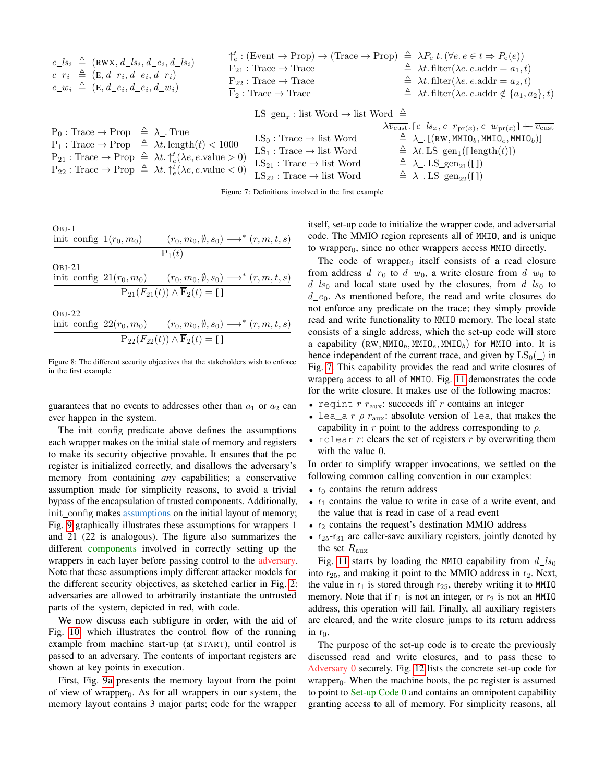<span id="page-5-0"></span>

| $c\_{ls_i} \triangleq$ (RWX, $d\_{ls_i}$ , $d\_{e_i}$ , $d\_{ls_i}$ )<br>$c_{r_i} \triangleq (E, d_{r_i}, d_{e_i}, d_{r_i})$<br>$c_{\perp} w_i \triangleq (E, d_{\perp} e_i, d_{\perp} e_i, d_{\perp} w_i)$ | $F_{21}: Trace \rightarrow Trace$<br>$F_{22}: Trace \rightarrow Trace$<br>$\overline{F}_2$ : Trace $\rightarrow$ Trace | $\uparrow_e^t : (\text{Event} \rightarrow \text{Prop}) \rightarrow (\text{Trace} \rightarrow \text{Prop}) \triangleq \lambda P_e t. (\forall e. e \in t \Rightarrow P_e(e))$<br>$\triangleq \lambda t$ . filter( $\lambda e$ . e.addr = $a_1, t$ )<br>$\hat{=} \lambda t$ . filter( $\lambda e$ . e.addr = $a_2, t$ )<br>$\hat{=} \lambda t$ . filter( $\lambda e$ . e.addr $\notin \{a_1, a_2\}, t$ ) |
|-------------------------------------------------------------------------------------------------------------------------------------------------------------------------------------------------------------|------------------------------------------------------------------------------------------------------------------------|--------------------------------------------------------------------------------------------------------------------------------------------------------------------------------------------------------------------------------------------------------------------------------------------------------------------------------------------------------------------------------------------------------|
|                                                                                                                                                                                                             | LS_gen <sub>x</sub> : list Word $\rightarrow$ list Word $\triangleq$                                                   |                                                                                                                                                                                                                                                                                                                                                                                                        |
| $P_0$ : Trace $\rightarrow$ Prop $\triangleq \lambda$ . True                                                                                                                                                | $\mathbf{I} \mathbf{C}$ . The set $\mathbf{U}_{\text{end}}$                                                            | $\lambda \overline{v_{\text{cust}}}. [c\_s_x, c\_r_{\text{pr}(x)}, c\_w_{\text{pr}(x)}] + \overline{v_{\text{cust}}}$<br>$\Delta$ ) $\Gamma$ ( $_{\rm D337}$ MMTO MMTO MMTO)]                                                                                                                                                                                                                          |

| $P_0$ : Trace $\rightarrow$ Prop $\equiv \lambda$ . True                                                |                                        |                                                                                                                |
|---------------------------------------------------------------------------------------------------------|----------------------------------------|----------------------------------------------------------------------------------------------------------------|
| $P_1$ : Trace $\rightarrow$ Prop $\triangleq \lambda t$ . length $(t)$ < 1000                           | $LS_0$ : Trace $\rightarrow$ list Word | $\hat{=} \ \lambda_{\!\_}$ . [(RW, <code>MMIO</code> $_b$ , <code>MMIO</code> $_e$ , <code>MMIO</code> $_b)$ ] |
|                                                                                                         | $LS_1: Trace \rightarrow list Word$    | $\hat{=} \lambda t$ . LS_gen <sub>1</sub> ([length(t)])                                                        |
| $P_{21}$ : Trace $\rightarrow$ Prop $\triangleq \lambda t. \uparrow_e^t(\lambda e, e.\text{value} > 0)$ |                                        |                                                                                                                |
|                                                                                                         | $LS_{21}: Trace \rightarrow list Word$ | $\triangleq \lambda$ . LS_gen <sub>21</sub> ([])                                                               |
| $P_{22}$ : Trace $\rightarrow$ Prop $\triangleq \lambda t. \uparrow_e^t (\lambda e, e$ value $\lt 0$ )  | $LS_{22}: Trace \rightarrow list Word$ | $\triangleq \lambda$ . LS_gen <sub>22</sub> ([])                                                               |
|                                                                                                         |                                        |                                                                                                                |

Figure 7: Definitions involved in the first example

<span id="page-5-1"></span>OBJ-1 init\_config\_1 $(r_0, m_0)$   $(r_0, m_0, \emptyset, s_0) \longrightarrow^* (r, m, t, s)$  $P_1(t)$ OBJ-21 init\_config\_21 $(r_0, m_0)$   $(r_0, m_0, \emptyset, s_0) \longrightarrow^* (r, m, t, s)$  $P_{21}(F_{21}(t)) \wedge F_2(t) = [ ]$ 

OBJ-22

init\_config\_22 $(r_0, m_0)$   $(r_0, m_0, \emptyset, s_0) \longrightarrow^* (r, m, t, s)$  $P_{22}(F_{22}(t)) \wedge F_2(t) = [ ]$ 

Figure 8: The different security objectives that the stakeholders wish to enforce in the first example

guarantees that no events to addresses other than  $a_1$  or  $a_2$  can ever happen in the system.

The init config predicate above defines the assumptions each wrapper makes on the initial state of memory and registers to make its security objective provable. It ensures that the pc register is initialized correctly, and disallows the adversary's memory from containing *any* capabilities; a conservative assumption made for simplicity reasons, to avoid a trivial bypass of the encapsulation of trusted components. Additionally, init config makes assumptions on the initial layout of memory; Fig. [9](#page-6-0) graphically illustrates these assumptions for wrappers 1 and 21 (22 is analogous). The figure also summarizes the different components involved in correctly setting up the wrappers in each layer before passing control to the adversary. Note that these assumptions imply different attacker models for the different security objectives, as sketched earlier in Fig. [2:](#page-2-0) adversaries are allowed to arbitrarily instantiate the untrusted parts of the system, depicted in red, with code.

We now discuss each subfigure in order, with the aid of Fig. [10,](#page-6-1) which illustrates the control flow of the running example from machine start-up (at START), until control is passed to an adversary. The contents of important registers are shown at key points in execution.

First, Fig. [9a](#page-6-2) presents the memory layout from the point of view of wrapper<sub>0</sub>. As for all wrappers in our system, the memory layout contains 3 major parts; code for the wrapper itself, set-up code to initialize the wrapper code, and adversarial code. The MMIO region represents all of MMIO, and is unique to wrapper $_0$ , since no other wrappers access MMIO directly.

The code of wrapper $_0$  itself consists of a read closure from address  $d_r_0$  to  $d_r w_0$ , a write closure from  $d_r w_0$  to  $d\_{ls_0}$  and local state used by the closures, from  $d\_{ls_0}$  to  $d_{e0}$ . As mentioned before, the read and write closures do not enforce any predicate on the trace; they simply provide read and write functionality to MMIO memory. The local state consists of a single address, which the set-up code will store a capability (RW, MMIO<sub>b</sub>, MMIO<sub>e</sub>, MMIO<sub>b</sub>) for MMIO into. It is hence independent of the current trace, and given by  $LS_0(\_)$  in Fig. [7.](#page-5-0) This capability provides the read and write closures of wrapper $_0$  access to all of MMIO. Fig. [11](#page-6-3) demonstrates the code for the write closure. It makes use of the following macros:

- reqint  $r_{\text{aux}}$ : succeeds iff  $r$  contains an integer
- lea\_a r  $\rho$  r<sub>aux</sub>: absolute version of lea, that makes the capability in r point to the address corresponding to  $\rho$ .
- rclear  $\bar{r}$ : clears the set of registers  $\bar{r}$  by overwriting them with the value 0.

In order to simplify wrapper invocations, we settled on the following common calling convention in our examples:

- $r_0$  contains the return address
- $r_1$  contains the value to write in case of a write event, and the value that is read in case of a read event
- $r_2$  contains the request's destination MMIO address
- $r_{25}$ - $r_{31}$  are caller-save auxiliary registers, jointly denoted by the set  $R_{\text{aux}}$

Fig. [11](#page-6-3) starts by loading the MMIO capability from  $d\_{ls_0}$ into  $r_{25}$ , and making it point to the MMIO address in  $r_2$ . Next, the value in  $r_1$  is stored through  $r_{25}$ , thereby writing it to MMIO memory. Note that if  $r_1$  is not an integer, or  $r_2$  is not an MMIO address, this operation will fail. Finally, all auxiliary registers are cleared, and the write closure jumps to its return address in  $r_0$ .

The purpose of the set-up code is to create the previously discussed read and write closures, and to pass these to Adversary 0 securely. Fig. [12](#page-6-4) lists the concrete set-up code for wrapper<sub>0</sub>. When the machine boots, the pc register is assumed to point to Set-up Code 0 and contains an omnipotent capability granting access to all of memory. For simplicity reasons, all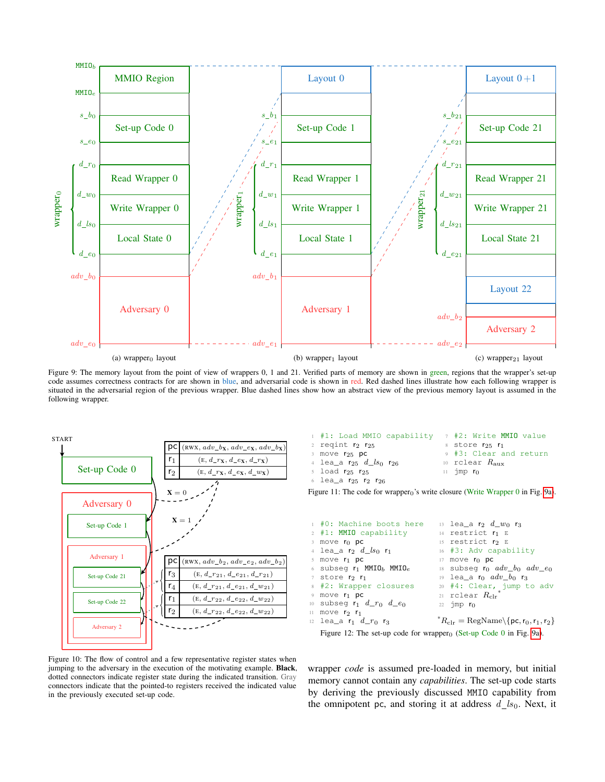<span id="page-6-2"></span><span id="page-6-0"></span>

Figure 9: The memory layout from the point of view of wrappers 0, 1 and 21. Verified parts of memory are shown in green, regions that the wrapper's set-up code assumes correctness contracts for are shown in blue, and adversarial code is shown in red. Red dashed lines illustrate how each following wrapper is situated in the adversarial region of the previous wrapper. Blue dashed lines show how an abstract view of the previous memory layout is assumed in the following wrapper.

<span id="page-6-1"></span>START Set-up Code 0 Adversary 0 Set-up Code 1 Adversary 1 Set-up Code 21 Set-up Code 22 Adversary 2  $\overline{\textsf{pc}}$  (RWX,  $adv\_b$ x,  $adv\_e$ x,  $adv\_b$ x)  $r_1$  (E,  $d_{r}$ x,  $d_{e}$ x,  $d_{r}$ x)  $r_2$  (E,  $d_{r_x}$ ,  $d_{e_x}$ ,  $d_{w_x}$ )  $\mathbf{X} = 0$  $X = 1$  $pc$  (RWX,  $adv_b_2$ ,  $adv_e_2$ ,  $adv_b_2$ )  $\mathsf{r}_3$  (E,  $d\_r_{21}, d\_e_{21}, d\_r_{21}$ )  $\mathsf{r}_4$  (E,  $d_{r_{21}}, d_{e_{21}}, d_{w_{21}}$ )  $\mathsf{r}_1$  (E,  $d_{r22}$ ,  $d_{e22}$ ,  $d_{w22}$ )  $r_2$  (E,  $d_{r_22}$ ,  $d_{e_{22}}$ ,  $d_{w_{22}}$ )

<span id="page-6-6"></span><span id="page-6-5"></span><span id="page-6-3"></span> #1: Load MMIO capability reqint  $r_2$   $r_{25}$ move  $r_{25}$  pc lea\_a  $r_{25}$   $d\_ls_0$   $r_{26}$  load r<sup>25</sup> r<sup>25</sup> 6 lea\_a  $r_{25}$   $r_2$   $r_{26}$  #2: Write MMIO value  $s$  store  $r_{25}$   $r_1$  #3: Clear and return rclear  $R_{\text{aux}}$  $11$  jmp  $r_0$ 

Figure 11: The code for wrapper<sub>0</sub>'s write closure (Write Wrapper 0 in Fig. [9a\)](#page-6-2).

<span id="page-6-4"></span>

| 1 #0: Machine boots here                           | $13$ lea_a $r_2$ $d\_w_0$ $r_3$                                                              |
|----------------------------------------------------|----------------------------------------------------------------------------------------------|
| 2 #1: MMIO capability                              | 14 restrict $r_1$ E                                                                          |
| $\frac{3}{5}$ move $r_0$ pc                        | 15 restrict r2 E                                                                             |
| 4 lea_a $r_2$ $d\_ls_0$ $r_1$                      | 16 #3: Adv capability                                                                        |
| 5 move r1 pc                                       | $17$ move $r_0$ pc                                                                           |
| 6 subseg $r_1$ MMIO <sub>b</sub> MMIO <sub>e</sub> | 18 subseq $r_0$ adv_b <sub>0</sub> adv_e <sub>0</sub>                                        |
| 7 store r <sub>2</sub> r <sub>1</sub>              | 19 lea_a $r_0$ $adv_b$ $r_3$                                                                 |
| 8 #2: Wrapper closures                             | 20 #4: Clear, jump to adv                                                                    |
| 9 move r <sub>1</sub> pc                           | 21 rclear $R_{\text{clr}}$                                                                   |
| 10 subseg $r_1$ $d\_r_0$ $d\_e_0$                  | 22 $\frac{1}{2}$ mp $r_0$                                                                    |
| $11$ move $r_2$ $r_1$                              |                                                                                              |
| $_{12}$ lea_a $r_1$ $d\_r_0$ $r_3$                 | $R_{\text{clr}} = \text{RegName}\setminus \{\text{pc}, \text{r}_0, \text{r}_1, \text{r}_2\}$ |
|                                                    |                                                                                              |

Figure 12: The set-up code for wrapper $_0$  (Set-up Code 0 in Fig. [9a\)](#page-6-2).

Figure 10: The flow of control and a few representative register states when jumping to the adversary in the execution of the motivating example. Black, dotted connectors indicate register state during the indicated transition. Gray connectors indicate that the pointed-to registers received the indicated value in the previously executed set-up code.

wrapper *code* is assumed pre-loaded in memory, but initial memory cannot contain any *capabilities*. The set-up code starts by deriving the previously discussed MMIO capability from the omnipotent pc, and storing it at address  $d_{ls0}$ . Next, it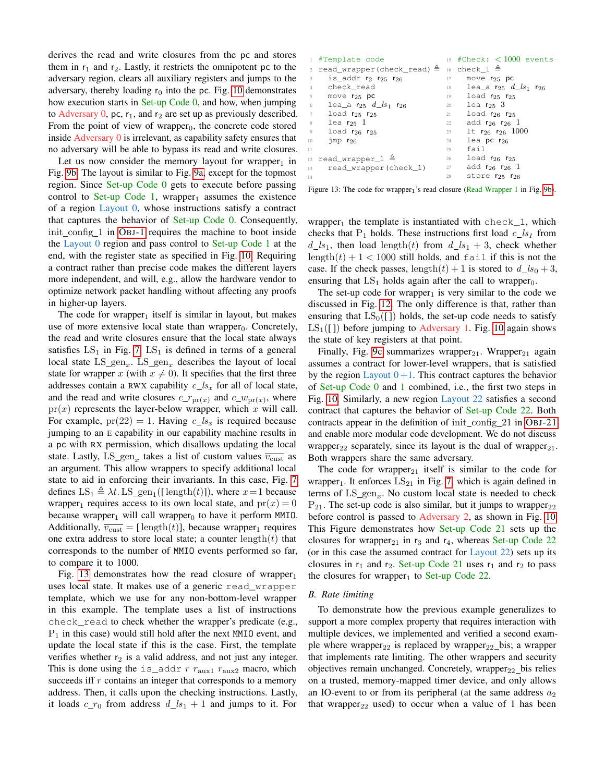derives the read and write closures from the pc and stores them in  $r_1$  and  $r_2$ . Lastly, it restricts the omnipotent pc to the adversary region, clears all auxiliary registers and jumps to the adversary, thereby loading  $r_0$  into the pc. Fig. [10](#page-6-1) demonstrates how execution starts in Set-up Code 0, and how, when jumping to Adversary 0, pc,  $r_1$ , and  $r_2$  are set up as previously described. From the point of view of wrapper $<sub>0</sub>$ , the concrete code stored</sub> inside Adversary 0 is irrelevant, as capability safety ensures that no adversary will be able to bypass its read and write closures.

Let us now consider the memory layout for wrapper<sub>1</sub> in Fig. [9b.](#page-6-5) The layout is similar to Fig. [9a,](#page-6-2) except for the topmost region. Since Set-up Code 0 gets to execute before passing control to Set-up Code 1, wrapper<sub>1</sub> assumes the existence of a region Layout 0, whose instructions satisfy a contract that captures the behavior of Set-up Code 0. Consequently, init config 1 in OBJ[-1](#page-5-1) requires the machine to boot inside the Layout 0 region and pass control to Set-up Code 1 at the end, with the register state as specified in Fig. [10.](#page-6-1) Requiring a contract rather than precise code makes the different layers more independent, and will, e.g., allow the hardware vendor to optimize network packet handling without affecting any proofs in higher-up layers.

The code for wrapper<sub>1</sub> itself is similar in layout, but makes use of more extensive local state than wrapper $<sub>0</sub>$ . Concretely,</sub> the read and write closures ensure that the local state always satisfies  $LS_1$  in Fig. [7.](#page-5-0)  $LS_1$  is defined in terms of a general local state  $LS_{gen_x}$ .  $LS_{gen_x}$  describes the layout of local state for wrapper x (with  $x \neq 0$ ). It specifies that the first three addresses contain a RWX capability  $c_{s}ls_{x}$  for all of local state, and the read and write closures  $c_{rr}(x)$  and  $c_{rw}(x)$ , where  $pr(x)$  represents the layer-below wrapper, which x will call. For example,  $pr(22) = 1$ . Having  $c_{s}ls_{x}$  is required because jumping to an E capability in our capability machine results in a pc with RX permission, which disallows updating the local state. Lastly,  $LS_{gen_x}$  takes a list of custom values  $\overline{v_{\text{cust}}}$  as an argument. This allow wrappers to specify additional local state to aid in enforcing their invariants. In this case, Fig. [7](#page-5-0) defines  $LS_1 \triangleq \lambda t$ . LS\_gen<sub>1</sub>([length(t)]), where  $x=1$  because wrapper<sub>1</sub> requires access to its own local state, and  $pr(x) = 0$ because wrapper<sub>1</sub> will call wrapper<sub>0</sub> to have it perform MMIO. Additionally,  $\overline{v_{\text{cust}}}$  = [length(t)], because wrapper<sub>1</sub> requires one extra address to store local state; a counter length $(t)$  that corresponds to the number of MMIO events performed so far, to compare it to 1000.

Fig. [13](#page-7-0) demonstrates how the read closure of wrapper $_1$ uses local state. It makes use of a generic read\_wrapper template, which we use for any non-bottom-level wrapper in this example. The template uses a list of instructions check\_read to check whether the wrapper's predicate (e.g.,  $P_1$  in this case) would still hold after the next MMIO event, and update the local state if this is the case. First, the template verifies whether  $r_2$  is a valid address, and not just any integer. This is done using the is\_addr r  $r_{\text{aux1}}$   $r_{\text{aux2}}$  macro, which succeeds iff r contains an integer that corresponds to a memory address. Then, it calls upon the checking instructions. Lastly, it loads  $c_{r0}$  from address  $d_{ls1} + 1$  and jumps to it. For

<span id="page-7-0"></span>

|                | 1 #Template code                                                |      | $15$ #Check: < 1000 events        |
|----------------|-----------------------------------------------------------------|------|-----------------------------------|
|                | 2 read_wrapper(check_read) $\triangleq$ 16 check_1 $\triangleq$ |      |                                   |
| $\overline{3}$ | is_addr $r_2$ $r_{25}$ $r_{26}$                                 | 17   | move $r_{25}$ pc                  |
|                | 4 check_read                                                    | 18 — | lea_a $r_{25}$ $d\_ls_1$ $r_{26}$ |
| 5              | move $r_{25}$ pc                                                |      | $19$ load $r_{25}$ $r_{25}$       |
| 6              | lea_a $r_{25}$ $d\_ls_1$ $r_{26}$                               | 20   | lea $r_{25}$ 3                    |
| 7              | load $r_{25}$ $r_{25}$                                          | 21 — | $load$ $r_{26}$ $r_{25}$          |
| 8              | lea $r_{25}$ 1                                                  | 22   | add $r_{26}$ $r_{26}$ 1           |
| $\circ$        | load $r_{26}$ $r_{25}$                                          | 23   | 1t $r_{26}$ $r_{26}$ 1000         |
| 10             | $\frac{1}{1}$ mp $r_{26}$                                       | 24   | lea pc $r_{26}$                   |
| 11             |                                                                 | 25   | fail                              |
|                | 12 read_wrapper_1 $\triangleq$                                  |      | load $r_{26}$ $r_{25}$<br>26      |
|                | 13 read_wrapper(check_1)                                        | 27   | add $r_{26}$ $r_{26}$ 1           |
| 14             |                                                                 | 28   | store $r_{25}$ $r_{26}$           |

Figure 13: The code for wrapper<sub>1</sub>'s read closure (Read Wrapper 1 in Fig. [9b\)](#page-6-5).

wrapper<sub>1</sub> the template is instantiated with  $check_1$ , which checks that  $P_1$  holds. These instructions first load  $c_{1}ls_1$  from  $d_{ls_1}$ , then load length(t) from  $d_{ls_1} + 3$ , check whether length $(t) + 1 < 1000$  still holds, and fail if this is not the case. If the check passes, length $(t) + 1$  is stored to  $d\_{ls_0} + 3$ , ensuring that  $LS_1$  holds again after the call to wrapper<sub>0</sub>.

The set-up code for wrapper<sub>1</sub> is very similar to the code we discussed in Fig. [12.](#page-6-4) The only difference is that, rather than ensuring that  $LS_0([1])$  holds, the set-up code needs to satisfy  $LS_1(\Pi)$  before jumping to Adversary 1. Fig. [10](#page-6-1) again shows the state of key registers at that point.

Finally, Fig. [9c](#page-6-6) summarizes wrapper<sub>21</sub>. Wrapper<sub>21</sub> again assumes a contract for lower-level wrappers, that is satisfied by the region Layout  $0+1$ . This contract captures the behavior of Set-up Code 0 and 1 combined, i.e., the first two steps in Fig. [10.](#page-6-1) Similarly, a new region Layout 22 satisfies a second contract that captures the behavior of Set-up Code 22. Both contracts appear in the definition of init config 21 in OBJ[-21](#page-5-1) and enable more modular code development. We do not discuss wrapper<sub>22</sub> separately, since its layout is the dual of wrapper<sub>21</sub>. Both wrappers share the same adversary.

The code for wrapper<sub>21</sub> itself is similar to the code for wrapper<sub>1</sub>. It enforces  $LS_{21}$  in Fig. [7,](#page-5-0) which is again defined in terms of  $LS_{gen_x}$ . No custom local state is needed to check  $P_{21}$ . The set-up code is also similar, but it jumps to wrapper<sub>22</sub> before control is passed to Adversary 2, as shown in Fig. [10.](#page-6-1) This Figure demonstrates how Set-up Code 21 sets up the closures for wrapper<sub>21</sub> in  $r_3$  and  $r_4$ , whereas Set-up Code 22 (or in this case the assumed contract for Layout 22) sets up its closures in  $r_1$  and  $r_2$ . Set-up Code 21 uses  $r_1$  and  $r_2$  to pass the closures for wrapper<sub>1</sub> to Set-up Code 22.

#### *B. Rate limiting*

To demonstrate how the previous example generalizes to support a more complex property that requires interaction with multiple devices, we implemented and verified a second example where wrapper<sub>22</sub> is replaced by wrapper<sub>22</sub> bis; a wrapper that implements rate limiting. The other wrappers and security objectives remain unchanged. Concretely, wrapper $_{22}$  bis relies on a trusted, memory-mapped timer device, and only allows an IO-event to or from its peripheral (at the same address  $a_2$ that wrapper<sub>22</sub> used) to occur when a value of 1 has been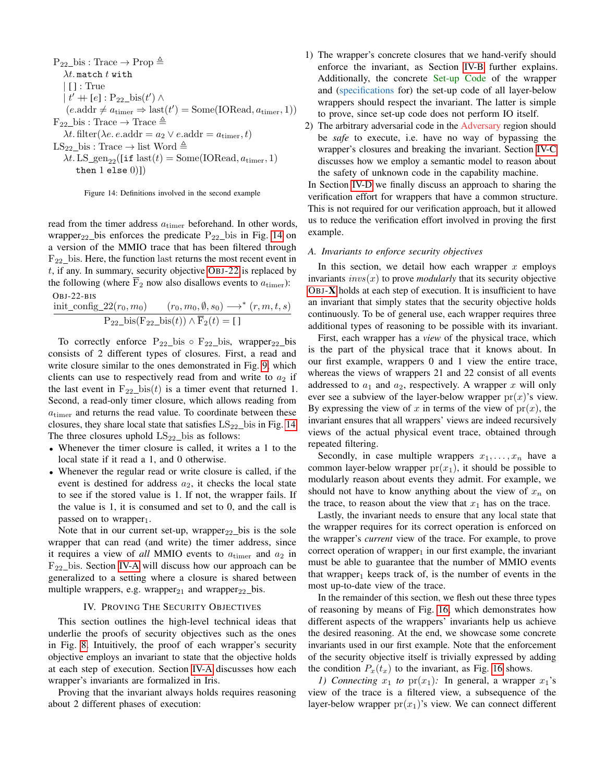<span id="page-8-0"></span> $P_{22}$ \_bis : Trace  $\rightarrow$  Prop  $\triangleq$  $\lambda t$ . match t with | [ ] : True  $| t' + [e] : P_{22} \text{bis}(t') \wedge$  $(e.\text{addr} \neq a_{\text{timer}} \Rightarrow \text{last}(t') = \text{Some}(\text{IORead}, a_{\text{timer}}, 1))$  $F_{22}$  bis : Trace  $\rightarrow$  Trace  $\triangleq$  $\lambda t$ . filter( $\lambda e$ .  $e$ . addr =  $a_2 \vee e$ . addr =  $a_{\text{timer}}$ , t)  $LS_{22}$ \_bis : Trace  $\rightarrow$  list Word  $\triangleq$  $\lambda t$ . LS\_gen<sub>22</sub>([if last(t) = Some(IORead,  $a_{\text{timer}}$ , 1)

then  $1$  else  $0)]$ 

Figure 14: Definitions involved in the second example

read from the timer address  $a_{\text{timer}}$  beforehand. In other words, wrapper<sub>22</sub> bis enforces the predicate  $P_{22}$  bis in Fig. [14](#page-8-0) on a version of the MMIO trace that has been filtered through  $F_{22}$  bis. Here, the function last returns the most recent event in  $t$ , if any. In summary, security objective OBJ[-22](#page-5-1) is replaced by the following (where  $\overline{F}_2$  now also disallows events to  $a_{\text{timer}}$ ):

OBJ-22-BIS

$$
\frac{\text{init\_config\_22}(r_0, m_0)}{P_{22}\_\text{bis}(F_{22}\_\text{bis}(t)) \land \overline{F}_2(t) = [1]}
$$

To correctly enforce  $P_{22}$  bis  $\circ$   $F_{22}$  bis, wrapper<sub>22</sub> bis consists of 2 different types of closures. First, a read and write closure similar to the ones demonstrated in Fig. [9,](#page-6-0) which clients can use to respectively read from and write to  $a_2$  if the last event in  $F_{22}$  bis(t) is a timer event that returned 1. Second, a read-only timer closure, which allows reading from  $a<sub>timer</sub>$  and returns the read value. To coordinate between these closures, they share local state that satisfies  $LS_{22}$  bis in Fig. [14.](#page-8-0) The three closures uphold  $LS_{22}$  bis as follows:

- Whenever the timer closure is called, it writes a 1 to the local state if it read a 1, and 0 otherwise.
- Whenever the regular read or write closure is called, if the event is destined for address  $a_2$ , it checks the local state to see if the stored value is 1. If not, the wrapper fails. If the value is 1, it is consumed and set to 0, and the call is passed on to wrapper<sub>1</sub>.

Note that in our current set-up, wrapper $_{22}$  bis is the sole wrapper that can read (and write) the timer address, since it requires a view of *all* MMIO events to  $a_{\text{timer}}$  and  $a_2$  in  $F_{22}$  bis. Section [IV-A](#page-8-1) will discuss how our approach can be generalized to a setting where a closure is shared between multiple wrappers, e.g. wrapper $_{21}$  and wrapper $_{22}$  bis.

## IV. PROVING THE SECURITY OBJECTIVES

This section outlines the high-level technical ideas that underlie the proofs of security objectives such as the ones in Fig. [8.](#page-5-1) Intuitively, the proof of each wrapper's security objective employs an invariant to state that the objective holds at each step of execution. Section [IV-A](#page-8-1) discusses how each wrapper's invariants are formalized in Iris.

Proving that the invariant always holds requires reasoning about 2 different phases of execution:

- 1) The wrapper's concrete closures that we hand-verify should enforce the invariant, as Section [IV-B](#page-10-0) further explains. Additionally, the concrete Set-up Code of the wrapper and (specifications for) the set-up code of all layer-below wrappers should respect the invariant. The latter is simple to prove, since set-up code does not perform IO itself.
- 2) The arbitrary adversarial code in the Adversary region should be *safe* to execute, i.e. have no way of bypassing the wrapper's closures and breaking the invariant. Section [IV-C](#page-11-0) discusses how we employ a semantic model to reason about the safety of unknown code in the capability machine.

In Section [IV-D](#page-12-0) we finally discuss an approach to sharing the verification effort for wrappers that have a common structure. This is not required for our verification approach, but it allowed us to reduce the verification effort involved in proving the first example.

#### <span id="page-8-1"></span>*A. Invariants to enforce security objectives*

In this section, we detail how each wrapper  $x$  employs invariants  $invs(x)$  to prove *modularly* that its security objective OBJ-[X](#page-5-1) holds at each step of execution. It is insufficient to have an invariant that simply states that the security objective holds continuously. To be of general use, each wrapper requires three additional types of reasoning to be possible with its invariant.

First, each wrapper has a *view* of the physical trace, which is the part of the physical trace that it knows about. In our first example, wrappers 0 and 1 view the entire trace, whereas the views of wrappers 21 and 22 consist of all events addressed to  $a_1$  and  $a_2$ , respectively. A wrapper x will only ever see a subview of the layer-below wrapper  $pr(x)$ 's view. By expressing the view of x in terms of the view of  $pr(x)$ , the invariant ensures that all wrappers' views are indeed recursively views of the actual physical event trace, obtained through repeated filtering.

Secondly, in case multiple wrappers  $x_1, \ldots, x_n$  have a common layer-below wrapper  $pr(x_1)$ , it should be possible to modularly reason about events they admit. For example, we should not have to know anything about the view of  $x_n$  on the trace, to reason about the view that  $x_1$  has on the trace.

Lastly, the invariant needs to ensure that any local state that the wrapper requires for its correct operation is enforced on the wrapper's *current* view of the trace. For example, to prove correct operation of wrapper $<sub>1</sub>$  in our first example, the invariant</sub> must be able to guarantee that the number of MMIO events that wrapper<sub>1</sub> keeps track of, is the number of events in the most up-to-date view of the trace.

In the remainder of this section, we flesh out these three types of reasoning by means of Fig. [16,](#page-9-0) which demonstrates how different aspects of the wrappers' invariants help us achieve the desired reasoning. At the end, we showcase some concrete invariants used in our first example. Note that the enforcement of the security objective itself is trivially expressed by adding the condition  $P_x(t_x)$  to the invariant, as Fig. [16](#page-9-0) shows.

*1)* Connecting  $x_1$  to  $pr(x_1)$ : In general, a wrapper  $x_1$ 's view of the trace is a filtered view, a subsequence of the layer-below wrapper  $pr(x_1)$ 's view. We can connect different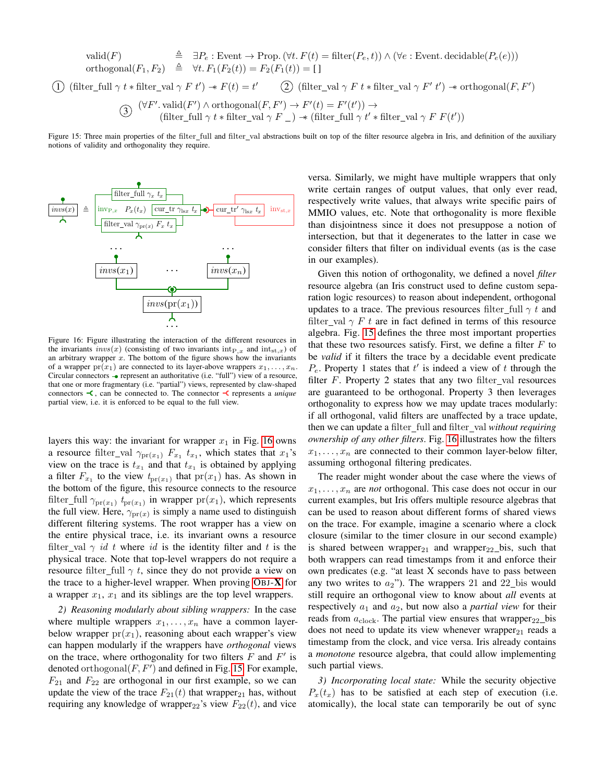<span id="page-9-1"></span>valid(F)  
\n
$$
\triangleq \exists P_e : \text{Event} \to \text{Prop.} \ (\forall t. \ F(t) = \text{filter}(P_e, t)) \land (\forall e : \text{Event.}\ \text{decidable}(P_e(e)))
$$
\northogonal(F<sub>1</sub>, F<sub>2</sub>)  
\n
$$
\triangleq \forall t. \ F_1(F_2(t)) = F_2(F_1(t)) = []
$$
\n
$$
\text{(filter\_full } \gamma \ t * \text{filter\_val } \gamma \ F \ t') \twoheadrightarrow F(t) = t' \qquad \text{(2) } (\text{filter\_val } \gamma \ F \ t * \text{filter\_val } \gamma \ F' \ t') \twoheadrightarrow \text{orthogonal}(F, F')
$$
\n
$$
\text{(3) } (\forall F'.\ \text{valid}(F') \land \text{orthogonal}(F, F') \to F'(t) = F'(t')) \to
$$
\n
$$
\text{(filter\_full } \gamma \ t * \text{filter\_val } \gamma \ F \_\text{}) \twoheadrightarrow (\text{filter\_full } \gamma \ t' * \text{filter\_val } \gamma \ F \ F(t'))
$$

Figure 15: Three main properties of the filter\_full and filter\_val abstractions built on top of the filter resource algebra in Iris, and definition of the auxiliary notions of validity and orthogonality they require.

<span id="page-9-0"></span>

Figure 16: Figure illustrating the interaction of the different resources in the invariants  $invs(x)$  (consisting of two invariants  $int_{P,x}$  and  $int_{st,x}$ ) of an arbitrary wrapper  $x$ . The bottom of the figure shows how the invariants of a wrapper  $pr(x_1)$  are connected to its layer-above wrappers  $x_1, \ldots, x_n$ . Circular connectors  $\rightarrow$  represent an authoritative (i.e. "full") view of a resource, that one or more fragmentary (i.e. "partial") views, represented by claw-shaped connectors  $\prec$ , can be connected to. The connector  $\prec$  represents a *unique* partial view, i.e. it is enforced to be equal to the full view.

layers this way: the invariant for wrapper  $x_1$  in Fig. [16](#page-9-0) owns a resource filter\_val  $\gamma_{\text{pr}(x_1)}$   $F_{x_1}$   $t_{x_1}$ , which states that  $x_1$ 's view on the trace is  $t_{x_1}$  and that  $t_{x_1}$  is obtained by applying a filter  $F_{x_1}$  to the view  $t_{pr(x_1)}$  that  $pr(x_1)$  has. As shown in the bottom of the figure, this resource connects to the resource filter\_full  $\gamma_{pr(x_1)} t_{pr(x_1)}$  in wrapper  $pr(x_1)$ , which represents the full view. Here,  $\gamma_{pr(x)}$  is simply a name used to distinguish different filtering systems. The root wrapper has a view on the entire physical trace, i.e. its invariant owns a resource filter val  $\gamma$  *id t* where *id* is the identity filter and t is the physical trace. Note that top-level wrappers do not require a resource filter\_full  $\gamma$  t, since they do not provide a view on the trace to a higher-level wrapper. When proving OBJ-[X](#page-5-1) for a wrapper  $x_1$ ,  $x_1$  and its siblings are the top level wrappers.

*2) Reasoning modularly about sibling wrappers:* In the case where multiple wrappers  $x_1, \ldots, x_n$  have a common layerbelow wrapper  $pr(x_1)$ , reasoning about each wrapper's view can happen modularly if the wrappers have *orthogonal* views on the trace, where orthogonality for two filters  $F$  and  $F'$  is denoted orthogonal $(F, F')$  and defined in Fig. [15.](#page-9-1) For example,  $F_{21}$  and  $F_{22}$  are orthogonal in our first example, so we can update the view of the trace  $F_{21}(t)$  that wrapper<sub>21</sub> has, without requiring any knowledge of wrapper<sub>22</sub>'s view  $F_{22}(t)$ , and vice

versa. Similarly, we might have multiple wrappers that only write certain ranges of output values, that only ever read, respectively write values, that always write specific pairs of MMIO values, etc. Note that orthogonality is more flexible than disjointness since it does not presuppose a notion of intersection, but that it degenerates to the latter in case we consider filters that filter on individual events (as is the case in our examples).

Given this notion of orthogonality, we defined a novel *filter* resource algebra (an Iris construct used to define custom separation logic resources) to reason about independent, orthogonal updates to a trace. The previous resources filter\_full  $\gamma t$  and filter val  $\gamma F t$  are in fact defined in terms of this resource algebra. Fig. [15](#page-9-1) defines the three most important properties that these two resources satisfy. First, we define a filter  $F$  to be *valid* if it filters the trace by a decidable event predicate  $P_e$ . Property 1 states that  $t'$  is indeed a view of t through the filter  $F$ . Property 2 states that any two filter\_val resources are guaranteed to be orthogonal. Property 3 then leverages orthogonality to express how we may update traces modularly: if all orthogonal, valid filters are unaffected by a trace update, then we can update a filter\_full and filter\_val *without requiring ownership of any other filters*. Fig. [16](#page-9-0) illustrates how the filters  $x_1, \ldots, x_n$  are connected to their common layer-below filter, assuming orthogonal filtering predicates.

The reader might wonder about the case where the views of  $x_1, \ldots, x_n$  are *not* orthogonal. This case does not occur in our current examples, but Iris offers multiple resource algebras that can be used to reason about different forms of shared views on the trace. For example, imagine a scenario where a clock closure (similar to the timer closure in our second example) is shared between wrapper $_{21}$  and wrapper $_{22}$  bis, such that both wrappers can read timestamps from it and enforce their own predicates (e.g. "at least X seconds have to pass between any two writes to  $a_2$ "). The wrappers 21 and 22 bis would still require an orthogonal view to know about *all* events at respectively  $a_1$  and  $a_2$ , but now also a *partial view* for their reads from  $a_{\text{clock}}$ . The partial view ensures that wrapper<sub>22</sub>\_bis does not need to update its view whenever wrapper $_{21}$  reads a timestamp from the clock, and vice versa. Iris already contains a *monotone* resource algebra, that could allow implementing such partial views.

*3) Incorporating local state:* While the security objective  $P_x(t_x)$  has to be satisfied at each step of execution (i.e. atomically), the local state can temporarily be out of sync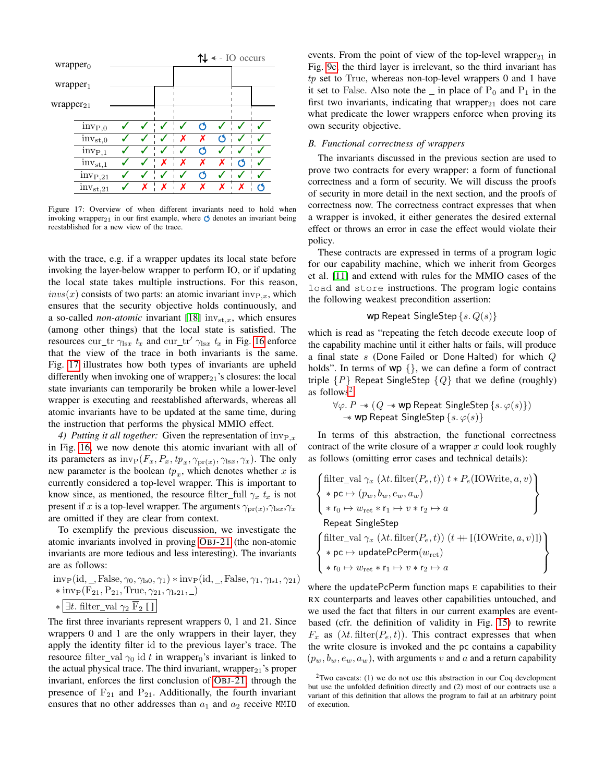<span id="page-10-1"></span>

Figure 17: Overview of when different invariants need to hold when invoking wrapper<sub>21</sub> in our first example, where  $\circlearrowleft$  denotes an invariant being reestablished for a new view of the trace.

with the trace, e.g. if a wrapper updates its local state before invoking the layer-below wrapper to perform IO, or if updating the local state takes multiple instructions. For this reason,  $invs(x)$  consists of two parts: an atomic invariant  $inv_{P,x}$ , which ensures that the security objective holds continuously, and a so-called *non-atomic* invariant [\[18\]](#page-15-13)  $inv_{st,x}$ , which ensures (among other things) that the local state is satisfied. The resources cur\_tr  $\gamma_{\text{lsx}} t_x$  and cur\_tr'  $\gamma_{\text{lsx}} t_x$  in Fig. [16](#page-9-0) enforce that the view of the trace in both invariants is the same. Fig. [17](#page-10-1) illustrates how both types of invariants are upheld differently when invoking one of wrapper $_{21}$ 's closures: the local state invariants can temporarily be broken while a lower-level wrapper is executing and reestablished afterwards, whereas all atomic invariants have to be updated at the same time, during the instruction that performs the physical MMIO effect.

4) Putting it all together: Given the representation of  $inv_{P,x}$ in Fig. [16,](#page-9-0) we now denote this atomic invariant with all of its parameters as  $\text{inv}_{\text{P}}(F_x, P_x, tp_x, \gamma_{\text{pr}(x)}, \gamma_{\text{lsx}}, \gamma_x)$ . The only new parameter is the boolean  $tp_x$ , which denotes whether x is currently considered a top-level wrapper. This is important to know since, as mentioned, the resource filter\_full  $\gamma_x t_x$  is not present if x is a top-level wrapper. The arguments  $\gamma_{\text{pr}(x)}, \gamma_{\text{lsx}}, \gamma_x$ are omitted if they are clear from context.

To exemplify the previous discussion, we investigate the atomic invariants involved in proving OBJ[-21](#page-5-1) (the non-atomic invariants are more tedious and less interesting). The invariants are as follows:

$$
\begin{aligned}\n&inv_P(\text{id}, \_, False, \gamma_0, \gamma_{\text{ls0}}, \gamma_1) * inv_P(\text{id}, \_, False, \gamma_1, \gamma_{\text{ls1}}, \gamma_{21}) \\
& * inv_P(F_{21}, P_{21}, True, \gamma_{21}, \gamma_{\text{ls21}}, \_) \\
& * [\exists t. filter\_val \; \gamma_2 \; \overline{F}_2 \; []\n\end{aligned}
$$

The first three invariants represent wrappers 0, 1 and 21. Since wrappers 0 and 1 are the only wrappers in their layer, they apply the identity filter id to the previous layer's trace. The resource filter val  $\gamma_0$  id t in wrapper<sub>0</sub>'s invariant is linked to the actual physical trace. The third invariant, wrapper<sub>21</sub>'s proper invariant, enforces the first conclusion of OBJ[-21,](#page-5-1) through the presence of  $F_{21}$  and  $P_{21}$ . Additionally, the fourth invariant ensures that no other addresses than  $a_1$  and  $a_2$  receive MMIO

events. From the point of view of the top-level wrapper $_{21}$  in Fig. [9c,](#page-6-6) the third layer is irrelevant, so the third invariant has  $tp$  set to True, whereas non-top-level wrappers 0 and 1 have it set to False. Also note the  $\overline{\phantom{a}}$  in place of P<sub>0</sub> and P<sub>1</sub> in the first two invariants, indicating that wrapper $_{21}$  does not care what predicate the lower wrappers enforce when proving its own security objective.

## <span id="page-10-0"></span>*B. Functional correctness of wrappers*

The invariants discussed in the previous section are used to prove two contracts for every wrapper: a form of functional correctness and a form of security. We will discuss the proofs of security in more detail in the next section, and the proofs of correctness now. The correctness contract expresses that when a wrapper is invoked, it either generates the desired external effect or throws an error in case the effect would violate their policy.

These contracts are expressed in terms of a program logic for our capability machine, which we inherit from Georges et al. [\[11\]](#page-15-6) and extend with rules for the MMIO cases of the load and store instructions. The program logic contains the following weakest precondition assertion:

## wp Repeat SingleStep  $\{s, Q(s)\}$

which is read as "repeating the fetch decode execute loop of the capability machine until it either halts or fails, will produce a final state s (Done Failed or Done Halted) for which Q holds". In terms of wp {}, we can define a form of contract triple  $\{P\}$  Repeat SingleStep  $\{Q\}$  that we define (roughly) as follows<sup>[2](#page-10-2)</sup>:

$$
\forall \varphi.\,P \twoheadrightarrow (Q \twoheadrightarrow \textsf{wp} \ \textsf{Repeat} \ \textsf{SingleStep} \ \{s.\, \varphi(s)\})\\ \twoheadrightarrow \textsf{wp} \ \textsf{Repeat} \ \textsf{SingleStep} \ \{s.\, \varphi(s)\}
$$

In terms of this abstraction, the functional correctness contract of the write closure of a wrapper  $x$  could look roughly as follows (omitting error cases and technical details):

$$
\left\{\begin{aligned}\n\text{filter\_val }\gamma_x\left(\lambda t.\text{filter}(P_e,t)\right)t * P_e(\text{IOWrite},a,v) \\
&*\mathsf{pc} \mapsto (p_w,b_w,e_w,a_w) \\
&*\mathsf{ro} \mapsto w_{\text{ret}} * \mathsf{r}_1 \mapsto v * \mathsf{r}_2 \mapsto a \\
\text{Repeat SingleStep} \\
\text{filter\_val }\gamma_x\left(\lambda t.\text{filter}(P_e,t)\right)(t + \text{[(IOWrite},a,v)]) \\
&*\mathsf{pc} \mapsto \text{updatePerm}(w_{\text{ret}}) \\
&*\mathsf{ro} \mapsto w_{\text{ret}} * \mathsf{r}_1 \mapsto v * \mathsf{r}_2 \mapsto a\n\end{aligned}\right\}
$$

where the updatePcPerm function maps E capabilities to their RX counterparts and leaves other capabilities untouched, and we used the fact that filters in our current examples are eventbased (cfr. the definition of validity in Fig. [15\)](#page-9-1) to rewrite  $F_x$  as  $(\lambda t. \text{filter}(P_e, t))$ . This contract expresses that when the write closure is invoked and the pc contains a capability  $(p_w, b_w, e_w, a_w)$ , with arguments v and a and a return capability

<span id="page-10-2"></span> $2$ Two caveats: (1) we do not use this abstraction in our Coq development but use the unfolded definition directly and (2) most of our contracts use a variant of this definition that allows the program to fail at an arbitrary point of execution.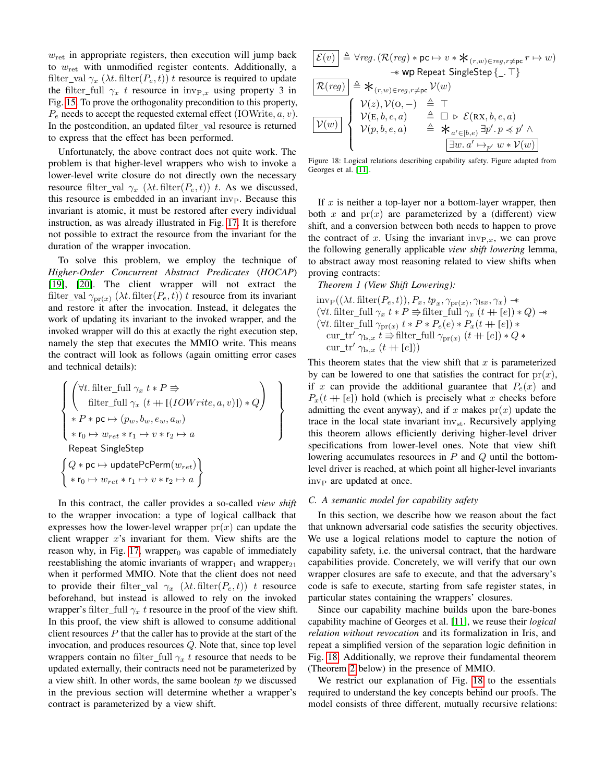$w_{\text{ret}}$  in appropriate registers, then execution will jump back to  $w_{\text{ret}}$  with unmodified register contents. Additionally, a filter\_val  $\gamma_x$  ( $\lambda t$ . filter( $P_e$ , t)) t resource is required to update the filter\_full  $\gamma_x$  t resource in inv<sub>P,x</sub> using property 3 in Fig. [15.](#page-9-1) To prove the orthogonality precondition to this property,  $P_e$  needs to accept the requested external effect (IOWrite,  $a, v$ ). In the postcondition, an updated filter\_val resource is returned to express that the effect has been performed.

Unfortunately, the above contract does not quite work. The problem is that higher-level wrappers who wish to invoke a lower-level write closure do not directly own the necessary resource filter val  $\gamma_x$  ( $\lambda t$ . filter $(P_e, t)$ ) t. As we discussed, this resource is embedded in an invariant  $inv_{\rm P}$ . Because this invariant is atomic, it must be restored after every individual instruction, as was already illustrated in Fig. [17.](#page-10-1) It is therefore not possible to extract the resource from the invariant for the duration of the wrapper invocation.

To solve this problem, we employ the technique of *Higher-Order Concurrent Abstract Predicates* (*HOCAP*) [\[19\]](#page-15-14), [\[20\]](#page-15-15). The client wrapper will not extract the filter\_val  $\gamma_{\text{pr}(x)}$  ( $\lambda t$ . filter( $P_e$ , t)) t resource from its invariant and restore it after the invocation. Instead, it delegates the work of updating its invariant to the invoked wrapper, and the invoked wrapper will do this at exactly the right execution step, namely the step that executes the MMIO write. This means the contract will look as follows (again omitting error cases and technical details):

$$
\left\{\begin{pmatrix} \forall t \text{. filter\_full } \gamma_x \ t * P \Rightarrow \\ \text{filter\_full } \gamma_x \ (t + [(IOWrite, a, v)]) * Q \end{pmatrix} \right\}
$$
\n
$$
\left\{\begin{pmatrix} \forall t \text{. filter\_full } \gamma_x \ (t + [(IOWrite, a, v)]) * Q \end{pmatrix} \right\}
$$
\n
$$
\left\{\begin{array}{c} \ast P * pc \mapsto (p_w, b_w, e_w, a_w) \\ \ast r_0 \mapsto w_{ret} * r_1 \mapsto v * r_2 \mapsto a \end{array}\right\}
$$
\n
$$
\left\{\begin{array}{c} Q * pc \mapsto \text{updatePcPerm}(w_{ret}) \\ * r_0 \mapsto w_{ret} * r_1 \mapsto v * r_2 \mapsto a \end{array}\right\}
$$

In this contract, the caller provides a so-called *view shift* to the wrapper invocation: a type of logical callback that expresses how the lower-level wrapper  $pr(x)$  can update the client wrapper  $x$ 's invariant for them. View shifts are the reason why, in Fig. [17,](#page-10-1) wrapper $<sub>0</sub>$  was capable of immediately</sub> reestablishing the atomic invariants of wrapper<sub>1</sub> and wrapper<sub>21</sub> when it performed MMIO. Note that the client does not need to provide their filter\_val  $\gamma_x$  ( $\lambda t$ . filter( $P_e, t$ )) t resource beforehand, but instead is allowed to rely on the invoked wrapper's filter\_full  $\gamma_x$  t resource in the proof of the view shift. In this proof, the view shift is allowed to consume additional client resources  $P$  that the caller has to provide at the start of the invocation, and produces resources Q. Note that, since top level wrappers contain no filter\_full  $\gamma_x$  t resource that needs to be updated externally, their contracts need not be parameterized by a view shift. In other words, the same boolean  $tp$  we discussed in the previous section will determine whether a wrapper's contract is parameterized by a view shift.

<span id="page-11-1"></span>
$$
\begin{array}{l} \boxed{\mathcal{E}(v)}\; \triangleq \; \forall reg.\left(\mathcal{R}(reg)*pc \mapsto v* \, \mathbf{\mathsf{\mathcal{*}}}_{(r,w) \in reg, r \neq pc} r \mapsto w\right) \\ \hline \hspace{1.5cm} \twoheadrightarrow \hspace{1.5cm} \mathbf{wp} \; \text{Repeat SingleStep} \left\{ \_, \top \right\} \\ \boxed{\mathcal{R}(reg)\; } \triangleq \; \mathbf{\mathsf{\mathcal{*}}}_{(r,w) \in reg, r \neq pc} \; \mathcal{V}(w) \\ \boxed{\mathcal{V}(z), \mathcal{V}(\mathbf{O},-)} \quad \triangleq \; \top \\ \boxed{\mathcal{V}(w) \; } \quad \mathcal{V}(\mathbf{E},b,e,a) \quad \triangleq \; \square \; \triangleright \; \mathcal{E}(\mathbf{RX},b,e,a) \\ \mathcal{V}(p,b,e,a) \quad \triangleq \; \mathbf{\mathsf{\mathcal{*}}}_{a' \in [b,e)} \; \exists p'.\, p \preheadleft\{ \mathcal{P}' \; \wedge \\ \boxed{\exists w.a' \mapsto_{p'} w * \mathcal{V}(w)} \end{array}
$$

Figure 18: Logical relations describing capability safety. Figure adapted from Georges et al. [\[11\]](#page-15-6).

If  $x$  is neither a top-layer nor a bottom-layer wrapper, then both x and  $pr(x)$  are parameterized by a (different) view shift, and a conversion between both needs to happen to prove the contract of x. Using the invariant  $inv_{P,x}$ , we can prove the following generally applicable *view shift lowering* lemma, to abstract away most reasoning related to view shifts when proving contracts:

*Theorem 1 (View Shift Lowering):*

 $\text{inv}_{\text{P}}((\lambda t. \text{filter}(P_e, t)), P_x, tp_x, \gamma_{\text{pr}(x)}, \gamma_{\text{lsx}}, \gamma_x) \rightarrow$ (∀t. filter\_full  $\gamma_x$   $t*P$   $\Rightarrow$  filter\_full  $\gamma_x$   $(t + \lceil e \rceil) * Q)$  →  $(\forall t.$  filter\_full  $\gamma_{\text{pr}(x)} t * P * P_e(e) * P_x(t + [e]) *$ cur\_tr'  $\gamma_{\text{ls},x}$  t  $\Rightarrow$  filter\_full  $\gamma_{\text{pr}(x)}$   $(t + [e]) * Q *$ cur\_tr'  $\gamma_{\text{ls},x}$   $(t + [e])$ 

This theorem states that the view shift that  $x$  is parameterized by can be lowered to one that satisfies the contract for  $pr(x)$ , if x can provide the additional guarantee that  $P_e(x)$  and  $P_x(t + |e|)$  hold (which is precisely what x checks before admitting the event anyway), and if x makes  $pr(x)$  update the trace in the local state invariant  $inv_{st}$ . Recursively applying this theorem allows efficiently deriving higher-level driver specifications from lower-level ones. Note that view shift lowering accumulates resources in  $P$  and  $Q$  until the bottomlevel driver is reached, at which point all higher-level invariants inv<sub>P</sub> are updated at once.

#### <span id="page-11-0"></span>*C. A semantic model for capability safety*

In this section, we describe how we reason about the fact that unknown adversarial code satisfies the security objectives. We use a logical relations model to capture the notion of capability safety, i.e. the universal contract, that the hardware capabilities provide. Concretely, we will verify that our own wrapper closures are safe to execute, and that the adversary's code is safe to execute, starting from safe register states, in particular states containing the wrappers' closures.

Since our capability machine builds upon the bare-bones capability machine of Georges et al. [\[11\]](#page-15-6), we reuse their *logical relation without revocation* and its formalization in Iris, and repeat a simplified version of the separation logic definition in Fig. [18.](#page-11-1) Additionally, we reprove their fundamental theorem (Theorem [2](#page-12-1) below) in the presence of MMIO.

We restrict our explanation of Fig. [18](#page-11-1) to the essentials required to understand the key concepts behind our proofs. The model consists of three different, mutually recursive relations: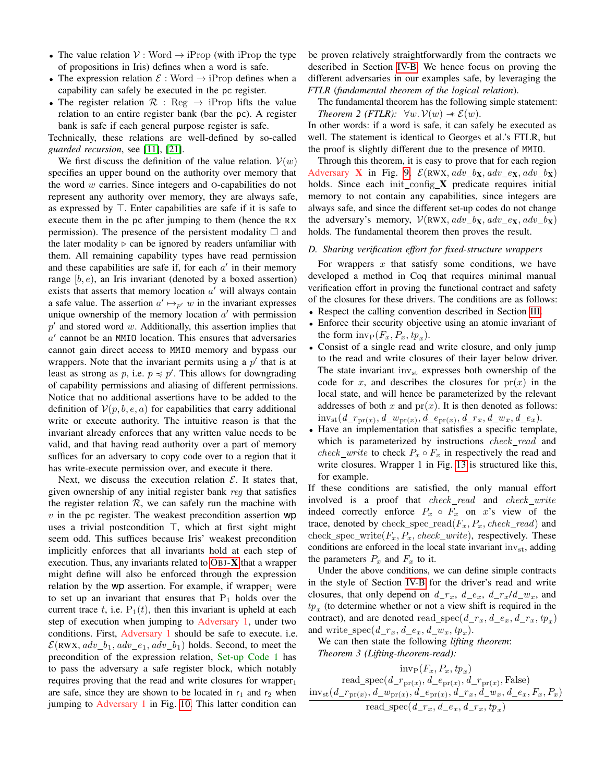- The value relation  $V: Word \rightarrow iProp$  (with iProp the type of propositions in Iris) defines when a word is safe.
- The expression relation  $\mathcal{E}:$  Word  $\rightarrow$  iProp defines when a capability can safely be executed in the pc register.
- The register relation  $\mathcal{R}$ : Reg  $\rightarrow$  iProp lifts the value relation to an entire register bank (bar the pc). A register bank is safe if each general purpose register is safe.

Technically, these relations are well-defined by so-called *guarded recursion*, see [\[11\]](#page-15-6), [\[21\]](#page-15-16).

We first discuss the definition of the value relation.  $V(w)$ specifies an upper bound on the authority over memory that the word  $w$  carries. Since integers and O-capabilities do not represent any authority over memory, they are always safe, as expressed by  $\top$ . Enter capabilities are safe if it is safe to execute them in the pc after jumping to them (hence the RX permission). The presence of the persistent modality  $\Box$  and the later modality  $\triangleright$  can be ignored by readers unfamiliar with them. All remaining capability types have read permission and these capabilities are safe if, for each  $a'$  in their memory range  $[b, e)$ , an Iris invariant (denoted by a boxed assertion) exists that asserts that memory location  $a'$  will always contain a safe value. The assertion  $a' \mapsto_{p'} w$  in the invariant expresses unique ownership of the memory location  $a'$  with permission  $p'$  and stored word  $w$ . Additionally, this assertion implies that  $a'$  cannot be an MMIO location. This ensures that adversaries cannot gain direct access to MMIO memory and bypass our wrappers. Note that the invariant permits using a  $p'$  that is at least as strong as p, i.e.  $p \preccurlyeq p'$ . This allows for downgrading of capability permissions and aliasing of different permissions. Notice that no additional assertions have to be added to the definition of  $V(p, b, e, a)$  for capabilities that carry additional write or execute authority. The intuitive reason is that the invariant already enforces that any written value needs to be valid, and that having read authority over a part of memory suffices for an adversary to copy code over to a region that it has write-execute permission over, and execute it there.

Next, we discuss the execution relation  $\mathcal{E}$ . It states that, given ownership of any initial register bank reg that satisfies the register relation  $R$ , we can safely run the machine with  $v$  in the pc register. The weakest precondition assertion  $wp$ uses a trivial postcondition  $\top$ , which at first sight might seem odd. This suffices because Iris' weakest precondition implicitly enforces that all invariants hold at each step of execution. Thus, any invariants related to  $OBJ-X$  $OBJ-X$  that a wrapper might define will also be enforced through the expression relation by the wp assertion. For example, if wrapper<sub>1</sub> were to set up an invariant that ensures that  $P_1$  holds over the current trace t, i.e.  $P_1(t)$ , then this invariant is upheld at each step of execution when jumping to Adversary 1, under two conditions. First, Adversary 1 should be safe to execute. i.e.  $\mathcal{E}(\text{RWX}, \text{adv}\_b_1, \text{adv}\_e_1, \text{adv}\_b_1)$  holds. Second, to meet the precondition of the expression relation, Set-up Code 1 has to pass the adversary a safe register block, which notably requires proving that the read and write closures for wrapper $_1$ are safe, since they are shown to be located in  $r_1$  and  $r_2$  when jumping to Adversary 1 in Fig. [10.](#page-6-1) This latter condition can

be proven relatively straightforwardly from the contracts we described in Section [IV-B.](#page-10-0) We hence focus on proving the different adversaries in our examples safe, by leveraging the *FTLR* (*fundamental theorem of the logical relation*).

<span id="page-12-1"></span>The fundamental theorem has the following simple statement: *Theorem 2 (FTLR):*  $\forall w.\mathcal{V}(w) \rightarrow \mathcal{E}(w)$ .

In other words: if a word is safe, it can safely be executed as well. The statement is identical to Georges et al.'s FTLR, but the proof is slightly different due to the presence of MMIO.

Through this theorem, it is easy to prove that for each region Adversary X in Fig. [9,](#page-6-0)  $\mathcal{E}(RWX, adv_bx, adv_ex, adv_bx)$ holds. Since each init\_config\_ $X$  predicate requires initial memory to not contain any capabilities, since integers are always safe, and since the different set-up codes do not change the adversary's memory,  $V(RWX, adv_bx, adv_ex, adv_bx)$ holds. The fundamental theorem then proves the result.

## <span id="page-12-0"></span>*D. Sharing verification effort for fixed-structure wrappers*

For wrappers  $x$  that satisfy some conditions, we have developed a method in Coq that requires minimal manual verification effort in proving the functional contract and safety of the closures for these drivers. The conditions are as follows:

- Respect the calling convention described in Section [III.](#page-4-1)
- Enforce their security objective using an atomic invariant of the form  $\text{inv}_{\text{P}}(F_x, P_x, tp_x)$ .
- Consist of a single read and write closure, and only jump to the read and write closures of their layer below driver. The state invariant inv<sub>st</sub> expresses both ownership of the code for x, and describes the closures for  $pr(x)$  in the local state, and will hence be parameterized by the relevant addresses of both x and  $pr(x)$ . It is then denoted as follows:  $inv_{st}(d\_r_{pr(x)}, d\_w_{pr(x)}, d\_e_{pr(x)}, d\_r_x, d\_w_x, d\_e_x).$
- Have an implementation that satisfies a specific template, which is parameterized by instructions check\_read and *check\_write* to check  $P_x \circ F_x$  in respectively the read and write closures. Wrapper 1 in Fig. [13](#page-7-0) is structured like this, for example.

If these conditions are satisfied, the only manual effort involved is a proof that  $check\_read$  and  $check\_write$ indeed correctly enforce  $P_x \circ F_x$  on x's view of the trace, denoted by check\_spec\_read( $F_x, P_x$ , check\_read) and check\_spec\_write( $F_x, P_x$ , check\_write), respectively. These conditions are enforced in the local state invariant  $inv_{st}$ , adding the parameters  $P_x$  and  $F_x$  to it.

Under the above conditions, we can define simple contracts in the style of Section [IV-B](#page-10-0) for the driver's read and write closures, that only depend on  $d_{r_x}$ ,  $d_{r_x}$ ,  $d_{r_x}/d_{r_x}$ , and  $tp_x$  (to determine whether or not a view shift is required in the contract), and are denoted read\_spec( $d_r_x, d_e_x, d_r_x, t_p$ ) and write\_spec( $d_{r_x}, d_{e_x}, d_{w_x}, tp_x)$ .

<span id="page-12-2"></span>We can then state the following *lifting theorem*: *Theorem 3 (Lifting-theorem-read):*

 $inv_P(F_x, P_x, tp_x)$ read\_spec( $d_{rpr(x)}, d_{epr(x)}, d_{rpr(x)},$ False)  $\text{inv}_{\text{st}}(d\_r_{\text{pr}(x)}, d\_w_{\text{pr}(x)}, d\_e_{\text{pr}(x)}, d\_r_x, d\_w_x, d\_e_x, F_x, P_x)$ read\_spec $(d\_r_x, d\_e_x, d\_r_x, tp_x)$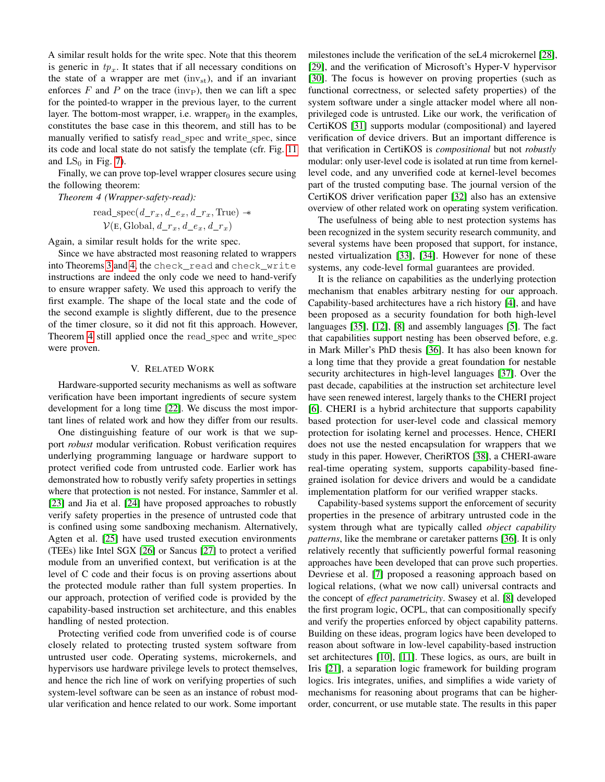A similar result holds for the write spec. Note that this theorem is generic in  $tp_x$ . It states that if all necessary conditions on the state of a wrapper are met  $(inv_{st})$ , and if an invariant enforces  $F$  and  $P$  on the trace (inv<sub>P</sub>), then we can lift a spec for the pointed-to wrapper in the previous layer, to the current layer. The bottom-most wrapper, i.e. wrapper $<sub>0</sub>$  in the examples,</sub> constitutes the base case in this theorem, and still has to be manually verified to satisfy read spec and write spec, since its code and local state do not satisfy the template (cfr. Fig. [11](#page-6-3) and  $LS_0$  in Fig. [7\)](#page-5-0).

Finally, we can prove top-level wrapper closures secure using the following theorem:

*Theorem 4 (Wrapper-safety-read):*

<span id="page-13-0"></span>read\_spec
$$
(d_r_x, d_e_x, d_r_x, \text{True}) \rightarrow
$$
  
 $\mathcal{V}(\text{E}, \text{Global}, d_r_x, d_e_x, d_r_x)$ 

Again, a similar result holds for the write spec.

Since we have abstracted most reasoning related to wrappers into Theorems [3](#page-12-2) and [4,](#page-13-0) the check\_read and check\_write instructions are indeed the only code we need to hand-verify to ensure wrapper safety. We used this approach to verify the first example. The shape of the local state and the code of the second example is slightly different, due to the presence of the timer closure, so it did not fit this approach. However, Theorem [4](#page-13-0) still applied once the read\_spec and write\_spec were proven.

## V. RELATED WORK

Hardware-supported security mechanisms as well as software verification have been important ingredients of secure system development for a long time [\[22\]](#page-15-17). We discuss the most important lines of related work and how they differ from our results.

One distinguishing feature of our work is that we support *robust* modular verification. Robust verification requires underlying programming language or hardware support to protect verified code from untrusted code. Earlier work has demonstrated how to robustly verify safety properties in settings where that protection is not nested. For instance, Sammler et al. [\[23\]](#page-15-18) and Jia et al. [\[24\]](#page-15-19) have proposed approaches to robustly verify safety properties in the presence of untrusted code that is confined using some sandboxing mechanism. Alternatively, Agten et al. [\[25\]](#page-15-20) have used trusted execution environments (TEEs) like Intel SGX [\[26\]](#page-15-21) or Sancus [\[27\]](#page-15-22) to protect a verified module from an unverified context, but verification is at the level of C code and their focus is on proving assertions about the protected module rather than full system properties. In our approach, protection of verified code is provided by the capability-based instruction set architecture, and this enables handling of nested protection.

Protecting verified code from unverified code is of course closely related to protecting trusted system software from untrusted user code. Operating systems, microkernels, and hypervisors use hardware privilege levels to protect themselves, and hence the rich line of work on verifying properties of such system-level software can be seen as an instance of robust modular verification and hence related to our work. Some important

milestones include the verification of the seL4 microkernel [\[28\]](#page-15-23), [\[29\]](#page-15-24), and the verification of Microsoft's Hyper-V hypervisor [\[30\]](#page-15-25). The focus is however on proving properties (such as functional correctness, or selected safety properties) of the system software under a single attacker model where all nonprivileged code is untrusted. Like our work, the verification of CertiKOS [\[31\]](#page-15-26) supports modular (compositional) and layered verification of device drivers. But an important difference is that verification in CertiKOS is *compositional* but not *robustly* modular: only user-level code is isolated at run time from kernellevel code, and any unverified code at kernel-level becomes part of the trusted computing base. The journal version of the CertiKOS driver verification paper [\[32\]](#page-15-27) also has an extensive overview of other related work on operating system verification.

The usefulness of being able to nest protection systems has been recognized in the system security research community, and several systems have been proposed that support, for instance, nested virtualization [\[33\]](#page-15-28), [\[34\]](#page-15-29). However for none of these systems, any code-level formal guarantees are provided.

It is the reliance on capabilities as the underlying protection mechanism that enables arbitrary nesting for our approach. Capability-based architectures have a rich history [\[4\]](#page-14-3), and have been proposed as a security foundation for both high-level languages [\[35\]](#page-15-30), [\[12\]](#page-15-7), [\[8\]](#page-15-3) and assembly languages [\[5\]](#page-15-0). The fact that capabilities support nesting has been observed before, e.g. in Mark Miller's PhD thesis [\[36\]](#page-15-31). It has also been known for a long time that they provide a great foundation for nestable security architectures in high-level languages [\[37\]](#page-15-32). Over the past decade, capabilities at the instruction set architecture level have seen renewed interest, largely thanks to the CHERI project [\[6\]](#page-15-1). CHERI is a hybrid architecture that supports capability based protection for user-level code and classical memory protection for isolating kernel and processes. Hence, CHERI does not use the nested encapsulation for wrappers that we study in this paper. However, CheriRTOS [\[38\]](#page-15-33), a CHERI-aware real-time operating system, supports capability-based finegrained isolation for device drivers and would be a candidate implementation platform for our verified wrapper stacks.

Capability-based systems support the enforcement of security properties in the presence of arbitrary untrusted code in the system through what are typically called *object capability patterns*, like the membrane or caretaker patterns [\[36\]](#page-15-31). It is only relatively recently that sufficiently powerful formal reasoning approaches have been developed that can prove such properties. Devriese et al. [\[7\]](#page-15-2) proposed a reasoning approach based on logical relations, (what we now call) universal contracts and the concept of *effect parametricity*. Swasey et al. [\[8\]](#page-15-3) developed the first program logic, OCPL, that can compositionally specify and verify the properties enforced by object capability patterns. Building on these ideas, program logics have been developed to reason about software in low-level capability-based instruction set architectures [\[10\]](#page-15-5), [\[11\]](#page-15-6). These logics, as ours, are built in Iris [\[21\]](#page-15-16), a separation logic framework for building program logics. Iris integrates, unifies, and simplifies a wide variety of mechanisms for reasoning about programs that can be higherorder, concurrent, or use mutable state. The results in this paper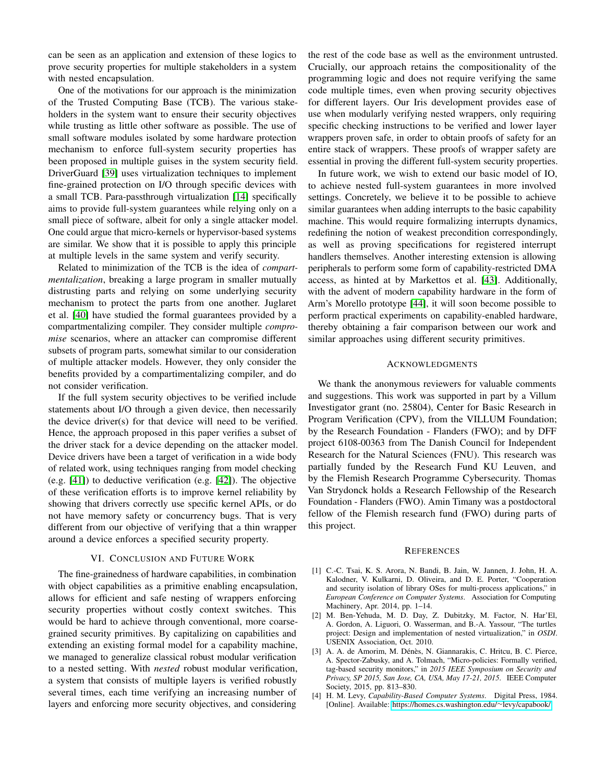can be seen as an application and extension of these logics to prove security properties for multiple stakeholders in a system with nested encapsulation.

One of the motivations for our approach is the minimization of the Trusted Computing Base (TCB). The various stakeholders in the system want to ensure their security objectives while trusting as little other software as possible. The use of small software modules isolated by some hardware protection mechanism to enforce full-system security properties has been proposed in multiple guises in the system security field. DriverGuard [\[39\]](#page-15-34) uses virtualization techniques to implement fine-grained protection on I/O through specific devices with a small TCB. Para-passthrough virtualization [\[14\]](#page-15-9) specifically aims to provide full-system guarantees while relying only on a small piece of software, albeit for only a single attacker model. One could argue that micro-kernels or hypervisor-based systems are similar. We show that it is possible to apply this principle at multiple levels in the same system and verify security.

Related to minimization of the TCB is the idea of *compartmentalization*, breaking a large program in smaller mutually distrusting parts and relying on some underlying security mechanism to protect the parts from one another. Juglaret et al. [\[40\]](#page-15-35) have studied the formal guarantees provided by a compartmentalizing compiler. They consider multiple *compromise* scenarios, where an attacker can compromise different subsets of program parts, somewhat similar to our consideration of multiple attacker models. However, they only consider the benefits provided by a compartimentalizing compiler, and do not consider verification.

If the full system security objectives to be verified include statements about I/O through a given device, then necessarily the device driver(s) for that device will need to be verified. Hence, the approach proposed in this paper verifies a subset of the driver stack for a device depending on the attacker model. Device drivers have been a target of verification in a wide body of related work, using techniques ranging from model checking (e.g. [\[41\]](#page-15-36)) to deductive verification (e.g. [\[42\]](#page-15-37)). The objective of these verification efforts is to improve kernel reliability by showing that drivers correctly use specific kernel APIs, or do not have memory safety or concurrency bugs. That is very different from our objective of verifying that a thin wrapper around a device enforces a specified security property.

#### VI. CONCLUSION AND FUTURE WORK

<span id="page-14-4"></span>The fine-grainedness of hardware capabilities, in combination with object capabilities as a primitive enabling encapsulation, allows for efficient and safe nesting of wrappers enforcing security properties without costly context switches. This would be hard to achieve through conventional, more coarsegrained security primitives. By capitalizing on capabilities and extending an existing formal model for a capability machine, we managed to generalize classical robust modular verification to a nested setting. With *nested* robust modular verification, a system that consists of multiple layers is verified robustly several times, each time verifying an increasing number of layers and enforcing more security objectives, and considering

the rest of the code base as well as the environment untrusted. Crucially, our approach retains the compositionality of the programming logic and does not require verifying the same code multiple times, even when proving security objectives for different layers. Our Iris development provides ease of use when modularly verifying nested wrappers, only requiring specific checking instructions to be verified and lower layer wrappers proven safe, in order to obtain proofs of safety for an entire stack of wrappers. These proofs of wrapper safety are essential in proving the different full-system security properties.

In future work, we wish to extend our basic model of IO, to achieve nested full-system guarantees in more involved settings. Concretely, we believe it to be possible to achieve similar guarantees when adding interrupts to the basic capability machine. This would require formalizing interrupts dynamics, redefining the notion of weakest precondition correspondingly, as well as proving specifications for registered interrupt handlers themselves. Another interesting extension is allowing peripherals to perform some form of capability-restricted DMA access, as hinted at by Markettos et al. [\[43\]](#page-15-38). Additionally, with the advent of modern capability hardware in the form of Arm's Morello prototype [\[44\]](#page-15-39), it will soon become possible to perform practical experiments on capability-enabled hardware, thereby obtaining a fair comparison between our work and similar approaches using different security primitives.

#### ACKNOWLEDGMENTS

We thank the anonymous reviewers for valuable comments and suggestions. This work was supported in part by a Villum Investigator grant (no. 25804), Center for Basic Research in Program Verification (CPV), from the VILLUM Foundation; by the Research Foundation - Flanders (FWO); and by DFF project 6108-00363 from The Danish Council for Independent Research for the Natural Sciences (FNU). This research was partially funded by the Research Fund KU Leuven, and by the Flemish Research Programme Cybersecurity. Thomas Van Strydonck holds a Research Fellowship of the Research Foundation - Flanders (FWO). Amin Timany was a postdoctoral fellow of the Flemish research fund (FWO) during parts of this project.

#### **REFERENCES**

- <span id="page-14-0"></span>[1] C.-C. Tsai, K. S. Arora, N. Bandi, B. Jain, W. Jannen, J. John, H. A. Kalodner, V. Kulkarni, D. Oliveira, and D. E. Porter, "Cooperation and security isolation of library OSes for multi-process applications," in *European Conference on Computer Systems*. Association for Computing Machinery, Apr. 2014, pp. 1–14.
- <span id="page-14-1"></span>[2] M. Ben-Yehuda, M. D. Day, Z. Dubitzky, M. Factor, N. Har'El, A. Gordon, A. Liguori, O. Wasserman, and B.-A. Yassour, "The turtles project: Design and implementation of nested virtualization," in *OSDI*. USENIX Association, Oct. 2010.
- <span id="page-14-2"></span>[3] A. A. de Amorim, M. Dénès, N. Giannarakis, C. Hritcu, B. C. Pierce, A. Spector-Zabusky, and A. Tolmach, "Micro-policies: Formally verified, tag-based security monitors," in *2015 IEEE Symposium on Security and Privacy, SP 2015, San Jose, CA, USA, May 17-21, 2015*. IEEE Computer Society, 2015, pp. 813–830.
- <span id="page-14-3"></span>[4] H. M. Levy, *Capability-Based Computer Systems*. Digital Press, 1984. [Online]. Available: [https://homes.cs.washington.edu/](https://homes.cs.washington.edu/~levy/capabook/)∼levy/capabook/